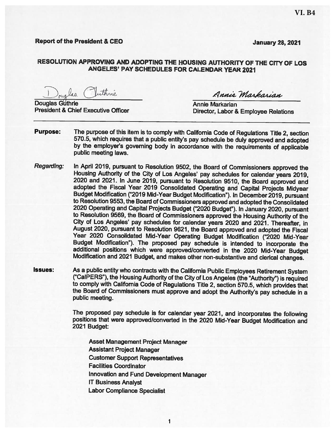## **Report of the President & CEO**

**January 28, 2021** 

## RESOLUTION APPROVING AND ADOPTING THE HOUSING AUTHORITY OF THE CITY OF LOS ANGELES' PAY SCHEDULES FOR CALENDAR YEAR 2021

Iuthric alaa

**Douglas Guthrie President & Chief Executive Officer** 

Annie Markarian

Annie Markarian Director, Labor & Employee Relations

- **Purpose:** The purpose of this item is to comply with California Code of Regulations Title 2, section 570.5, which requires that a public entity's pay schedule be duly approved and adopted by the employer's governing body in accordance with the requirements of applicable public meeting laws.
- **Regarding:** In April 2019, pursuant to Resolution 9502, the Board of Commissioners approved the Housing Authority of the City of Los Angeles' pay schedules for calendar years 2019, 2020 and 2021. In June 2019, pursuant to Resolution 9510, the Board approved and adopted the Fiscal Year 2019 Consolidated Operating and Capital Projects Midyear Budget Modification ("2019 Mid-Year Budget Modification"). In December 2019, pursuant to Resolution 9553, the Board of Commissioners approved and adopted the Consolidated 2020 Operating and Capital Projects Budget ("2020 Budget"). In January 2020, pursuant to Resolution 9569, the Board of Commissioners approved the Housing Authority of the City of Los Angeles' pay schedules for calendar years 2020 and 2021. Thereafter, in August 2020, pursuant to Resolution 9621, the Board approved and adopted the Fiscal Year 2020 Consolidated Mid-Year Operating Budget Modification ("2020 Mid-Year Budget Modification"). The proposed pay schedule is intended to incorporate the additional positions which were approved/converted in the 2020 Mid-Year Budget Modification and 2021 Budget, and makes other non-substantive and clerical changes.
- **Issues:** As a public entity who contracts with the California Public Employees Retirement System ("CalPERS"), the Housing Authority of the City of Los Angeles (the "Authority") is required to comply with California Code of Regulations Title 2, section 570.5, which provides that the Board of Commissioners must approve and adopt the Authority's pay schedule in a public meeting.

1

The proposed pay schedule is for calendar year 2021, and incorporates the following positions that were approved/converted in the 2020 Mid-Year Budget Modification and 2021 Budget:

Asset Management Project Manager **Assistant Project Manager Customer Support Representatives Facilities Coordinator** Innovation and Fund Development Manager **IT Business Analyst Labor Compliance Specialist**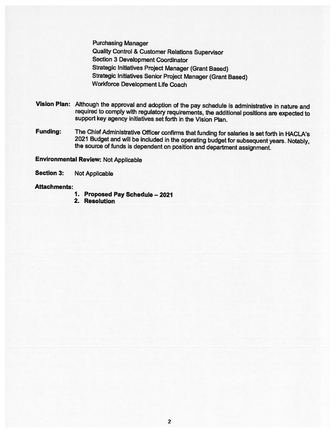**Purchasing Manager Quality Control & Customer Relations Supervisor Section 3 Development Coordinator Strategic Initiatives Project Manager (Grant Based) Strategic Initiatives Senior Project Manager (Grant Based) Workforce Development Life Coach** 

- Vision Plan: Although the approval and adoption of the pay schedule is administrative in nature and required to comply with regulatory requirements, the additional positions are expected to support key agency initiatives set forth in the Vision Plan.
- The Chief Administrative Officer confirms that funding for salaries is set forth in HACLA's **Funding:** 2021 Budget and will be included in the operating budget for subsequent years. Notably, the source of funds is dependent on position and department assignment.

**Environmental Review: Not Applicable** 

**Section 3: Not Applicable** 

## **Attachments:**

- 1. Proposed Pay Schedule 2021
- 2. Resolution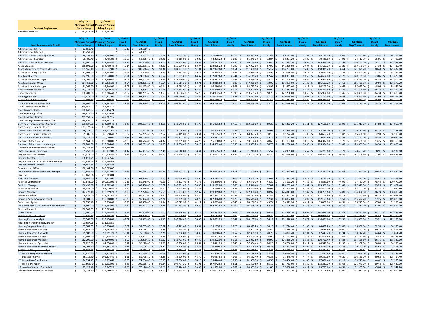|                            | 4/1/2021                      | 4/1/2021            |
|----------------------------|-------------------------------|---------------------|
|                            | Minimum Annual Maximum Annual |                     |
| <b>Contract Employment</b> | <b>Salary Range</b>           | <b>Salary Range</b> |
| President and CEO          | 287,428.59 \$                 | 323.167.00          |

|                                                                     | 4/1/2021                          | 4/1/2021                                  | 4/1/2021                   |                         | 4/1/2021                             |                            | 4/1/2021                      |                           | 4/1/2021                     |                           | 4/1/2021                    |                             | 4/1/202:               |                           | 4/1/2021               |                            | 4/1/2021       |                          |
|---------------------------------------------------------------------|-----------------------------------|-------------------------------------------|----------------------------|-------------------------|--------------------------------------|----------------------------|-------------------------------|---------------------------|------------------------------|---------------------------|-----------------------------|-----------------------------|------------------------|---------------------------|------------------------|----------------------------|----------------|--------------------------|
|                                                                     | <i>A</i> inimum Ann               | ıximum Annı                               | Step 1                     | 4/1/2021                | Step 2                               | 4/1/2021                   | Step <sub>3</sub>             | 4/1/2021                  | Step 4                       | 4/1/2021                  | Step 5                      | 4/1/2021                    | Step <sub>6</sub>      | 4/1/2021                  | Step 7                 | 4/1/2021                   | Step 8         | 4/1/2021                 |
| Non Represented / At Will                                           | <b>Salary Range</b>               | <b>Salary Range</b>                       | <b>Hourly</b>              | <b>Step 1 Annual</b>    | <b>Hourly</b>                        | <b>Step 2 Annual</b>       | <b>Hourly</b>                 | <b>Step 3 Annual</b>      | Hourly                       | <b>Step 4 Annual</b>      | <b>Hourly</b>               | <b>Step 5 Annual</b>        | <b>Hourly</b>          | <b>Step 6 Annual</b>      | Hourly                 | <b>Step 7 Annual</b>       | Hourly         | <b>Step 8 Annual</b>     |
| Administrative Intern I                                             | 33,550.40<br>-S                   |                                           | 16.13                      | 33,550.40               |                                      |                            |                               |                           |                              |                           |                             |                             |                        |                           |                        |                            |                |                          |
| Administrative Intern II                                            | 43,451.20                         |                                           | 20.89                      | 43,451.20               |                                      |                            |                               |                           |                              |                           |                             |                             |                        |                           |                        |                            |                | 94,265.60                |
| <b>Administrative Program Specialis</b><br>Administrative Secretary | l \$<br>76,252.80<br>60,486.40    | 94,265.60<br>74,796.80                    | 36.66<br>-S<br>29.08<br>S  | 76,252.80<br>60,486.40  | 37.79<br><sub>S</sub><br>29.96<br>١s | 78,603.20<br>62,316.80     | 38.95<br>l S<br>30.89         | 81,016.00 \$<br>64,251.20 | 40.16<br>31.85<br>-S         | 83,532.80 \$<br>66,248.00 | 41.41<br>32.84<br>-S        | 86,132.80<br>68,307.20      | 42.68<br>l \$<br>33.86 | 88,774.40 \$<br>70,428.80 | 44.01<br>34.91<br>-S   | 91,540.80<br>72,612.80     | 45.32<br>35.96 | 74,796.80                |
| Administrative Services Manage                                      | l S<br>91,000.00                  | 112,548.80                                | 43.75<br>-S                | 91,000.00               | 45.12<br>l S                         | 93,849.60                  | 46.53<br>l S                  | 96,782.40                 | 47.96<br>l S                 | 99,756.80                 | 49.44                       | 102,835.20                  | 50.95                  | 105,976.00                | 52.53                  | 109,262.40                 | 54.11          | 112,548.80               |
| Asset Manager                                                       | 125,091.20                        | l s<br>154,710.40                         | 60.14                      | 125,091.20              | 62.00<br>l s                         | 128,960.00                 | l s<br>63.94                  | 132,995.20                | 65.90                        | 137,072.00                | 67.95                       | 141,336.00                  | 70.04                  | 145,683.20                | 72.20                  | 150,176.00                 | 74.38          | 154,710.40               |
| Asset Management Project Manager                                    | l \$<br>101,566.40 \$             | 125,632.00 \$                             | 48.83                      | 101,566.40 \$           | 50.34                                | 104,707.20 \$<br>l s       | 51.91                         | 107,972.80 \$             | 53.51                        | 111,300.80 \$             | 55.17                       | 114,753.60 \$               | 56.89                  | 118,331.20 \$             | 58.64                  | 121,971.20                 | 60.40          | 125,632.00               |
| <b>Assistant Building Engineer</b>                                  | 72,009.60                         | 88,545.60                                 | 34.62                      | 72,009.60               | 35.66                                | 74,172.80                  | 36.73                         | 76,398.40                 | 37.83                        | 78,686.40                 | 38.96                       | 81,036.80                   | 40.13                  | 83,470.40                 | 41.33<br>ΙŚ.           | 85,966.40                  | 42.57          | 88,545.60                |
| <b>Assistant Directo</b>                                            | <b>S</b><br>124,196.80            | 153,628.80<br>l s                         | 59.71<br>l s               | 124,196.80 \$           | 61.57                                | <sub>S</sub><br>128,065.60 | l s<br>63.47                  | 132,017.60                | 65.44                        | 136,115.20                | l s<br>67.47                | 140,337.60 \$               | 69.55                  | 144,664.00 \$             | 71.70                  | 149,136.00                 | 73.86          | 153,628.80               |
| Assistant Finance Manage                                            | ¢<br>108,201.60                   | 133,806.40<br>١s                          | 52.02<br>-S                | 108,201.60              | 53.63<br>١s                          | 111,550.40<br>١s           | 55.28<br>١s                   | 114,982.40                | 56.99<br>I S                 | 118,539.20 \$             | 58.75                       | 122,200.00 \$               | 60.56                  | 125,964.80                | 62.45<br>ΙŚ.           | 129,896.00                 | 64.33          | 133,806.40               |
| <b>Assistant Finance Officer</b>                                    | 134,451.20<br>s.                  | 166,275.20<br>l S                         | 64.64<br>-S                | 134,451.20              | 66.64<br>l s                         | 138,611.20                 | 68.71<br>l s                  | 142,916.80                | 70.85<br>l S                 | 147,368.00                | 73.02<br>l s                | 151,881.60                  | 75.29                  | 156,603.20                | 77.61                  | 161,428.80                 | 79.94          | 166,275.20               |
| Assistant Project Manager                                           | 81,265.60                         | 99,944.00                                 | -S<br>39.07                | 81,265.60               | ١s<br>40.24                          | 83,699.20                  | -S<br>41.45                   | 86,216.00                 | 42.69                        | 88,795.20                 | 43.97                       | 91,457.60                   | 45.29                  | 94,203.20                 | 46.65                  | 97,032.00                  | 48.05          | 99,944.00                |
| <b>Bond Program Manager</b>                                         | l \$<br>112,278.40 \$             | 138,819.20                                | l s<br>53.98               | 112,278.40 \$           | $55.65$ \$                           | 115,752.00                 | 57.37<br>l s                  | 119,329.60                | 59.13                        | 122,990.40 \$             | 60.97                       | 126,817.60 \$               | 62.87                  | 130,769.60                | 64.81                  | 134,804.80                 | 66.74          | 138,819.20               |
| <b>Budget Manage</b>                                                | 108,201.60                        | 133,806.40                                | 52.02                      | 108,201.60              | 53.63                                | 111,550.40                 | 55.28                         | 114,982.40                | 56.99                        | 118,539.20                | 58.75                       | 122,200.00                  | 60.56                  | 125,964.80                | 62.45                  | 129,896.00                 | 64.33          | 133,806.40               |
| <b>Building Engineer</b>                                            | -Ś<br>105,414.40                  | 130,312.00<br>s.                          | 50.68<br>S                 | 105,414.40              | -S<br>52.25                          | 108,680.00                 | 53.85<br>-S                   | 112,008.00                | 55.52<br>-S                  | 115,481.60                | 57.25<br>s.                 | 119,080.00                  | 59.02<br>I S.          | 122,761.60                | 60.84<br>-S            | 126,547.20                 | 62.65          | 130,312.00               |
| `anital Grant Administrato                                          | 94.182.40<br>Ŝ.                   | 116.459.20<br>122,262.40                  | 45.2<br>47.58              | 94.182.46               | 46.68<br>l S                         | 97.094.4<br>l S            | 48.1                          | 100.110.40                | 49.62<br>$52.10$ \$          | 103,209.60                | 51.16                       | 106.412.80                  | 52.75<br>55.38         | 109.720.00                | 54.35<br>57.08         | 113,048.00                 | 55.99<br>58.78 | 116,459.20<br>122,262.40 |
| Capital Grants Administrator<br><b>Chief Administrative Officer</b> | 98,966.40<br>229,951.02           | s.<br>١s<br>267,287.1                     |                            | 98,966.40               | 49.03                                | 101,982.40                 | 50.55<br>IS.                  | 105,144.00                |                              | 108,368.00 \$             | $53.70$ \$                  | 111,696.00 \$               |                        | 115,190.40 \$             |                        | 118,726.40                 |                |                          |
| <b>Chief Finance Officer</b>                                        | l s<br>198,047.87                 | l s<br>259,494.74                         |                            |                         |                                      |                            |                               |                           |                              |                           |                             |                             |                        |                           |                        |                            |                |                          |
| <b>Chief Operating Officer</b>                                      | 238,671.60                        | $\hat{\zeta}$<br>283,129.94               |                            |                         |                                      |                            |                               |                           |                              |                           |                             |                             |                        |                           |                        |                            |                |                          |
| <b>Chief Programs Officer</b>                                       | -S<br>229,951.02                  | l \$<br>267,287.15                        |                            |                         |                                      |                            |                               |                           |                              |                           |                             |                             |                        |                           |                        |                            |                |                          |
| Chief Strategic Development Officer                                 | 229,951.02                        | 267,287.15<br>١s                          |                            |                         |                                      |                            |                               |                           |                              |                           |                             |                             |                        |                           |                        |                            |                |                          |
| <b>Community Development Manage</b>                                 | l \$<br>109,137.60                | 134,950.40<br>l S                         | 52.47                      | 109,137.60 \$           | 54.11                                | 112,548.80 \$<br>l s       | 55.77                         | 116,001.60 \$             | $57.50$ \$                   | 119,600.00 \$             | $59.29$ \$                  | 123,323.20 \$               | 61.11                  | 127,108.80 \$<br>I S.     | 62.99                  | 131,019.20                 | 64.88          | 134,950.40               |
| <b>Community Relations Officer</b>                                  | 137,372.34                        | -S<br>175,091.05                          |                            |                         |                                      |                            |                               |                           |                              |                           |                             |                             |                        |                           |                        |                            |                |                          |
| <b>Community Relations Specialist</b>                               | ۱s<br>75,712.00                   | 93.121.60<br>l S                          | 36.40                      | 75,712.00               | 37.50                                | 78,000.00                  | 38.61                         | 80.308.80                 | 39.76                        | 82,700.80                 | 40.98                       | 85,238.40                   | 42.20                  | 87,776.00                 | 43.47                  | 90,417.60                  | 44.77          | 93,121.60                |
| Community Resource Assistant                                        | 55,785.60                         | 68,598.40                                 | 26.82                      | 55,785.60               | 27.62<br>-S                          | 57,449.60                  | 28.44                         | 59,155.20                 | 29.29                        | 60,923.20                 | 30.18                       | 62,774.40                   | 31.09                  | 64,667.20                 | 32.02                  | 66,601.60                  | 32.98          | 68,598.40                |
| <b>Community Resource Specialist</b>                                | l s<br>64,729.60                  | 80,080.00                                 | 31.12<br>S                 | 64,729.60               | -Ś<br>32.09                          | 66,747.20                  | 33.09<br>-S                   | 68,827.20                 | 34.11<br>l S                 | 70,948.80                 | 35.15<br>-S                 | 73,112.00                   | 36.26<br>l S           | 75,420.80                 | 37.38<br>-S            | 77,750.40                  | 38.50          | 80,080.00                |
| Contracts Administrato                                              | 89,564.80                         | 110,760.00<br>.s                          | 43.06<br>-S                | 89,564.80               | 44.37<br>١s                          | 92,289.60                  | 45.76<br>-S                   | 95,180.80                 | 47.18<br>-S                  | 98.134.40                 | 48.65<br>١s                 | 101,192.00                  | 50.15                  | 104,312.00                | 51.70<br>l S           | 107,536.00                 | 53.25          | 110,760.00               |
| <b>Contracts Administration Manage</b>                              | l \$<br>108,201.60                | 133,806.40<br>-S<br><b>s</b><br>163.285.0 | 52.02<br>S                 | 108,201.60              | 53.63<br>١s                          | 111,550.40                 | 55.28<br>١s                   | 114,982.40                | 56.99<br>۱s                  | 118,539.20 \$             | 58.75                       | 122,200.00 \$               | 60.56                  | 125,964.80                | 62.45<br>S.            | 129,896.00                 | 64.33          | 133,806.40               |
| Contracts and Procurement Officer<br>Data Processing Technician     | 130,144.66<br>l s<br>65,457.60 \$ | 80,932.80                                 | 31.47<br>-S                | 65,457.60               | 32.46<br>-S                          | 67,516.80                  | 33.44<br>I S.                 | 69,555.20                 | 34.48<br>l S                 | 71,718.40 \$              | 35.57                       | 73,985.60                   | 36.67                  | 76,273.60                 | 37.79                  | 78,603.20                  | 38.91          | 80,932.80                |
| Deputy Assistant Director                                           | 121,014.40                        | ١s<br>149,676.80                          | 58.18                      | 121,014.40              | ۱s<br>59.99                          | 124,779.20<br>-S           | 61.84                         | 128,627.20                | 63.74<br>١s                  | 132,579.20                | 65.70<br>-S                 | 136,656.00                  | 67.74                  | 140,899.20                | 69.86<br>l S           | 145,308.80                 | 71.96          | 149,676.80               |
| Deputy Director                                                     | -Ś<br>150,619.21                  | <sup>\$</sup><br>177,647.46               |                            |                         |                                      |                            |                               |                           |                              |                           |                             |                             |                        |                           |                        |                            |                |                          |
| Deputy Director of Development Services                             | 165,655.56                        | 225.184.43<br>-S                          |                            |                         |                                      |                            |                               |                           |                              |                           |                             |                             |                        |                           |                        |                            |                |                          |
| <b>Deputy General Counse</b>                                        | S.<br>165,655.56                  | 225,184.43<br>-S                          |                            |                         |                                      |                            |                               |                           |                              |                           |                             |                             |                        |                           |                        |                            |                |                          |
| Development Officer                                                 | 130,144.66                        | 163,285.07                                |                            |                         |                                      |                            |                               |                           |                              |                           |                             |                             |                        |                           |                        |                            |                |                          |
| Development Services Project Manage                                 | l \$<br>101,566.40 \$             | 125,632.00                                | 48.83                      | 101.566.40              | $50.34$ \$<br>l s                    | 104,707.20 \$              | 51.91                         | 107,972.80 \$             | $53.51$ \$                   | 111,300.80 \$             | $55.17$ \$                  | 114,753.60 \$               | 56.89                  | 118.331.20 \$             | 58.64                  | 121.971.20                 | 60.40          | 125.632.00               |
| Director                                                            | 157,660.96                        | 230,003.04                                |                            |                         |                                      |                            |                               |                           |                              |                           |                             |                             |                        |                           |                        |                            |                |                          |
| <b>Executive Assistant</b>                                          | <b>S</b><br>64,646.40             | 79,913.60                                 | 31.08<br>S                 | 64,646.40               | 32.05<br><sup>\$</sup>               | 66,664.00                  | 33.04                         | 68,723.20                 | 34.04<br>l S                 | 70,803.20                 | 35.09                       | 72,987.20                   | 36.18                  | 75,254.40                 | 37.30                  | 77,584.00                  | 38.42          | 79,913.60                |
| <b>Facilities Coordinator</b>                                       | 81.848.00                         | 100.672.00<br>-S                          | 39.35<br>S                 | 81.848.00               | 40.53<br>-S                          | 84.302.40                  | 41.75                         | 86.840.00                 | 43.00<br>١s                  | 89,440.00                 | 44.29<br>s.                 | 92.123.20                   | 45.62                  | 94.889.60                 | 46.99<br>-S            | 97.739.20                  | 48.40          | 100.672.00               |
| acilities Manager<br>acilities Specialist                           | ۱s<br>106,496.00<br>74,048.00     | 131,622.40<br>-S<br>91,020.80<br>١s       | 51.20<br>-S<br>35.60<br>-S | 106,496.00<br>74,048.00 | 52.77<br>l S<br>36.67<br>l s         | 109,761.60<br>76,273.60    | 54.40<br>-S<br>37.76<br>l s   | 113,152.00<br>78,540.80   | 56.08<br>l S<br>38.88<br>l s | 116,646.40<br>80,870.40   | 57.82<br>-S<br>40.05<br>l s | 120,265.60<br>83,304.00     | 59.61<br>l S<br>41.25  | 123,988.80<br>85,800.00   | 61.45<br>42.50         | 127,816.00<br>88,400.00    | 63.28<br>43.76 | 131,622.40<br>91,020.80  |
| <b>Finance Manager</b>                                              | l s<br>112,278.40 \$              | 138,819,20 \$                             | 53.98                      | 112,278.40 \$           | $55.65$ S                            | 115,752.00 \$              | 57.37                         | 119,329.60 \$             | $59.13$ \ \$                 | 122,990.40 \$             | 60.97                       | 126,817.60 \$               | 62.87                  | 130,769.60 \$             | 64.81                  | 134,804.80                 | 66.74          | 138,819.20               |
| inancial Analyst                                                    | 95,472.00                         | 118,081.60<br>-S                          | 45.90                      | 95,472.00               | 47.32<br>۱s                          | 98,425.60<br>۱s            | 48.79<br>I S                  | 101,483.20                | 50.28                        | 104,582.40                | 51.84<br>١s                 | 107,827.20                  | 53.46                  | 111,196.80                | 55.12<br>l S           | 114,649.60                 | 56.77          | 118,081.60               |
| inancial System Support Coord.                                      | l s<br>96.304.00                  | 119,080.00<br>l s                         | 46.30<br>l s               | 96,304.00               | 47.74<br>l s                         | l s<br>99,299.20           | l\$<br>49.20                  | 102,336.00                | 50.73<br>l s                 | 105,518.40 \$             | 52.31                       | 108,804.80                  | 53.92                  | 112,153.60                | 55.59<br>S.            | 115,627.20                 | 57.25          | 119,080.00               |
| Fraud Investigator                                                  | 80.558.40                         | 99,590.40<br>-5                           | 38.73<br>S.                | 80.558.40               | 39.94<br>١s                          | 83,075.20<br>١s            | 41.17<br>- 5                  | 85,633.60                 | 42.45<br>I S                 | 88,296.00 \$              | 43.74                       | 90,979.20                   | 45.11<br>IS.           | 93.828.80 \$              | 46.51                  | 96,740.80<br>$\hat{\zeta}$ | 47.88<br>5.    | 99.590.40                |
| Innovation and Fund Development Manage                              | l \$<br>96,491.20                 | 118,664.00<br>l S                         | 46.39<br>S                 | 96,491.20               | 47.78<br>١s                          | 99,382.40                  | 49.22                         | 102,377.60                | 50.69                        | $105,435.20$ \$           | 52.21                       | 108,596.80                  | 53.78                  | $111,862.40$ \$           | 55.39                  | 115,211.20                 | 57.05          | 118,664.00               |
| General Counse                                                      | 190,503.89                        | 230,003.04<br>Š.                          |                            |                         |                                      |                            |                               |                           |                              |                           |                             |                             |                        |                           |                        |                            |                |                          |
| Grant Writer                                                        | 91.000.00                         | 112.548.80                                | 43.75                      | 91.000.00               | 45.12                                | 93.849.60                  | 46.53                         | 96.782.40                 | 47.96                        | 99.756.80                 | 49.44                       | 102.835.20                  | 50.95                  | 105.976.00                | 52.53                  | 109.262.40                 | $-54.11$       | 112.548.80               |
| <b>lealth and Safety Officer</b>                                    | 92.830.46                         | 114,795.20                                | 44.63                      | 92.830.4                | 46.01                                | 95,700.80                  | 47.41                         | 98,612.86                 | 48.88                        | 101,670.40                | 50.40                       | 104,832.00                  | 51.96                  | 108,076.80                | 53.58                  | 111,446.40                 | $-55.19$       | 114,795.20               |
| <b>Housing Finance Analyst</b>                                      | l s<br>99.569.60                  | 123.156.80                                | 47.87                      | 99,569.60               | 49.38<br>-Ś                          | 102,710.40                 | 50.89                         | 105,851.20                | 52.47<br>l S                 | 109,137.60                | 54.11<br>-S                 | 112,548.80                  | 55.77<br>l \$          | 116,001.60                | 57.50<br>s.            | 119,600.00                 | 59.21          | 123,156.80               |
| <b>Housing Finance Project Manager</b>                              | 93,587.96                         | 131,678.5                                 |                            |                         |                                      |                            |                               |                           |                              |                           |                             |                             |                        |                           |                        |                            |                |                          |
| <b>Housing Support Specialist</b><br>Human Resources Analyst        | ۱s<br>55,785.60<br>67,558.40      | 68,598.40<br>-S<br>۱s<br>83.553.60        | 26.82<br>32.48<br>-S       | 55,785.60<br>67,558.40  | 27.62<br>-S<br>33.48<br>۱s           | 57,449.60<br>69,638.40     | 28.44<br>l \$<br>34.53<br>l s | 59,155.20<br>71,822.40    | 29.29<br>۱s<br>35.59<br>l s  | 60,923.20<br>74,027.20    | 30.18<br>١s<br>36.69<br>l s | $62,774.40$ \$<br>76,315.20 | 31.09<br>37.81         | 64,667.20<br>78,644.80    | 32.02<br>39.00<br>-S   | 66,601.60<br>81,120.00     | 32.98<br>40.17 | 68,598.40<br>83,553.60   |
| Human Resources Analyst                                             | l s<br>75,108.80 \$               | 92,851.20                                 | Is.<br>36.11               | 75.108.80               | l s<br>37.21                         | 77,396.80<br>l S           | 38.38<br>Is.                  | 79,830.40 \$              | 39.57                        | 82,305.60 \$              | 40.78                       | 84.822.40 \$                | 42.04                  | 87,443.20                 | 43.34<br>I S           | 90,147.20                  | 44.64          | 92,851.20                |
| Human Resources Assistant                                           | 47,902.40                         | 59,238.40<br>١s                           | 23.03                      | 47,902.40               | ١s<br>23.75                          | 49,400.00                  | 24.47                         | 50,897.60                 | 25.24                        | 52,499.20                 | 26.02                       | 54,121.60                   | 26.83                  | 55,806.40                 | 27.66<br>IS.           | 57,532.80                  | 28.48          | 59,238.40                |
| Human Resources Manager                                             | <b>S</b><br>112.299.20            | 138,840.00                                | 53.99<br>.s                | 112,299.20              | 55.67<br>l S                         | <sub>S</sub><br>115,793.60 | 57.40<br>l s                  | 119,392.00                | 59.16<br>l S                 | 123,052.80                | 60.99<br>l s                | 126,859.20                  | 62.88                  | 130,790.40                | 64.82<br>S.            | 134,825.60<br>s.           | 66.75          | 138,840.00               |
| Human Resources Specialist                                          | 52,228.80                         | 64.230.40                                 | 25.11<br>5                 | 52,228.80               | 25.86<br>- 9                         | 53,788.80                  | 26.64                         | 55,411.20                 | 27.43<br>- 5                 | 57,054.40                 | 28.26<br>-S                 | 58.780.80                   | 29.11                  | 60.548.80                 | 29.97<br>$\hat{\zeta}$ | 62,337.60                  | 30.88          | 64.230.40                |
| <del>I</del> uman Resources Technical Analys                        | 75,108.8                          | 92,851.2                                  |                            | 75,108.80               | 37.21                                | 7.396.84                   | 8.31                          | 79.830.40                 | 39.57                        | 32.305.60                 | 40.78                       | 4.822.40                    | 42.04                  | 87,443.20                 | 43.34                  | 0,147.20                   | 44.64          | 92,851.20                |
| (HR) Special Programs Analyst                                       | 67,558.40                         | 83,553.6                                  | 32.48                      | 67,558.40               | 33.48                                | 69,638.40                  | 34.53                         | 71,822.40                 | 35.59                        | 74,027.20                 | 36.69                       | 76,315.20                   | 37.81                  | 78,644.80                 | 39.00                  | 81,120.00                  | 40.17          | 83,553.60                |
| .T. Project Support Coordinato                                      | 61.630.40                         | 76,273.66                                 | 29.63                      | 61.630.46               | 30.55                                | 63.544.00                  | 31.49                         | 55,499.20                 | 32.48                        | 67,558.40                 | 33.48                       | 69.638.40                   | 34.53                  | 71,822.40                 | 35.60                  | 74.048.00                  | 36.67          | 76,273.66                |
| .T. Business Analyst                                                | 85,716.80                         | 105,414.40                                | 41.21                      | 85,716.80               | 42.45                                | 88,296.00                  | 43.72                         | 90,937.60                 | 45.03                        | 93,662.40                 | 46.38                       | 96,470.40                   | 47.77                  | 99,361.60                 | 49.20                  | 102,336.00                 | 50.68          | 105,414.40               |
| T. Operations Coordinator                                           | l s<br>74,734.40                  | 92,393.60                                 | 35.93                      | 74,734.40               | 37.05<br>-Ś                          | 77,064.00                  | 38.18                         | 79,414.40                 | 39.36                        | 81,868.80                 | 40.58                       | 84,406.40                   | 41.83                  | 87,006.40                 | 43.13                  | 89,710.40                  | 44.42          | 92,393.60                |
| T. Project Manage                                                   | 101.566.40                        | 125.632.00<br>S.                          | 48.83<br>-S                | 101,566.40              | 50.34<br>١s                          | 104.707.20<br>١s           | 51.91<br>S.                   | 107,972.80                | 53.51                        | 111.300.80                | 55.17<br>-S                 | 114.753.60                  | 56.89                  | 118.331.20                | 58.64                  | 121,971.20                 | 60.40          | 125.632.00               |
| <b>Information Systems Specialist I</b>                             | l S<br>77.126.40                  | 95,347.20<br>l S                          | 37.08<br>l S               | 77,126.40               | 38.21<br>l S                         | 79,476.80<br>l S           | 39.40<br>l S                  | 81,952.00                 | 40.62                        | 84,489.60 \$              | 41.86                       | 87,068.80                   | 43.17                  | 89,793.60                 | 44.51<br>l S           | 92,580.80                  | 45.84          | 95,347.20                |
| Information Systems Specialist II                                   | l S<br>109.137.60 S               | 134,950,40 S                              | 52.47<br>l s               | 109,137.60 \$           | $54.11$ S                            | 112,548.80 \$              | 55.77<br>l s                  | 116,001.60 S              | $57.50$ \$                   | 119,600.00 \$             | 59.29                       | 123,323.20 \$               | $61.11$ S              | 127,108.80 \$             | 62.99                  | 131,019.20<br>l S          | 64.88          | 134,950.40               |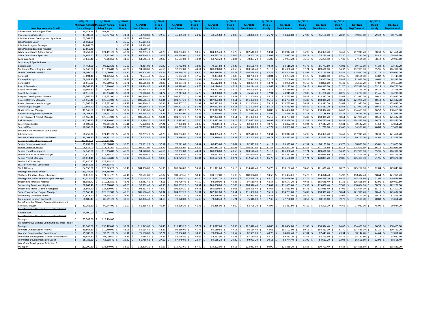|                                                   | 4/1/2021                            | 4/1/2021              | 1/1/2021              |                        | 4/1/2021            |                      | 717202°               |                      | 4/1/2021              |                      | 1/1/202       |                      | 1/1/202       |                            | 1/1/202 <sup>.</sup> |                      | 4/1/202               |                      |
|---------------------------------------------------|-------------------------------------|-----------------------|-----------------------|------------------------|---------------------|----------------------|-----------------------|----------------------|-----------------------|----------------------|---------------|----------------------|---------------|----------------------------|----------------------|----------------------|-----------------------|----------------------|
|                                                   | m Anni                              | m Ann                 | Step 1                | 4/1/2021               | Step 2              | 4/1/2021             | Step 3                | 4/1/2021             | Step 4                | 4/1/2021             | Step 5        | 4/1/2021             | Step 6        | 4/1/2021                   | Step 7               | 4/1/2021             | Step 8                | 4/1/2021             |
| Non Represented / At Will                         | <b>Salary Range</b>                 | <b>Salary Range</b>   | <b>Hourly</b>         | <b>Step 1 Annual</b>   | <b>Hourly</b>       | <b>Step 2 Annual</b> | <b>Hourly</b>         | <b>Step 3 Annual</b> | Hourly                | <b>Step 4 Annual</b> | <b>Hourly</b> | <b>Step 5 Annual</b> | <b>Hourly</b> | <b>Step 6 Annual</b>       | Hourly               | <b>Step 7 Annual</b> | Hourly                | <b>Step 8 Annual</b> |
| Information Technology Officer                    | 124,078.99 \$                       | 161,797.70            |                       |                        |                     |                      |                       |                      |                       |                      |               |                      |               |                            |                      |                      |                       |                      |
| <b>Investigations Specialist</b>                  | $\mathbf{\hat{S}}$<br>43,700.80     | 60,777.60 \$          | 21.01                 | 43,700.80              | $22.19$ \$          | $46,155.20$ \$       | 23.32                 | 48,505.60            | 23.08                 | 48,006.40 \$         | 25.71         | 53,476.80<br>S.      | 27.00<br>S.   | $56,160.00$ \$<br>Ŝ.       | 28.37                | 59,009.60            | 29.22<br><sub>S</sub> | 60,777.60            |
| Jobs Plus Career Development Specialist           | 65,769.60                           |                       | 31.62<br>-S           | 65,769.60              |                     |                      |                       |                      |                       |                      |               |                      |               |                            |                      |                      |                       |                      |
| Jobs Plus Life Coach                              | 55,161.60                           |                       | <sub>S</sub><br>26.52 | 55,161.60              |                     |                      |                       |                      |                       |                      |               |                      |               |                            |                      |                      |                       |                      |
| Jobs Plus Program Manager                         | 84,864.00                           |                       | 40.80                 | 84.864.00              |                     |                      |                       |                      |                       |                      |               |                      |               |                            |                      |                      |                       |                      |
| Jobs Plus Resident Site Assistant                 | 33,550.40<br>-S                     |                       | -Ś<br>16.13           | 33,550.40              |                     |                      |                       |                      |                       |                      |               |                      |               |                            |                      |                      |                       |                      |
| Labor Compliance Administrator                    | 98,259.20                           | 121,451.20 \$         | 47.24                 | 98,259.20              | 48.70               | 101.296.00           | 50.19                 | 104.395.20           | 51.75                 | 107.640.00           | 53.34         | 110.947.20           | 54.98         | 114.358.40                 | 56.69                | 117.915.20           | 58.39<br>.s           | 121.451.20           |
| abor Compliance Specialist                        | l S<br>64,646.40                    | 79,913.60<br>١s       | 31.08                 | 64,646.40              | 32.05<br>l S        | 66,664.00            | 33.04                 | 68,723.20            | 34.04                 | 70,803.20            | 35.09         | 72,987.20            | 36.18         | 75,254.40                  | Ś<br>37.30           | 77,584.00            | 38.42<br><sub>S</sub> | 79,913.60            |
| egal Assistant                                    | 64,646.40                           | 79,913.60<br>١s       | l s<br>31.08          | 64,646.40              | 32.05               | 66,664.00            | 33.04                 | 68,723.20            | 34.04                 | 70,803.20            | 35.09         | 72,987.20            | 36.18         | 75,254.40                  | 37.30                | 77,584.00            | 38.42<br><b>s</b>     | 79,913.60            |
| Marketing & Special Projects                      |                                     |                       |                       |                        |                     |                      |                       |                      |                       |                      |               |                      |               |                            |                      |                      |                       |                      |
| Coordinator                                       | 74,464.00 \$                        | $92,123.20$ \$        | 35.80                 | 74,464.00              | 36.90<br>l S        | 76,752.00<br>l S     | 38.06                 | 79,164.80            | 39.23                 | 81,598.40            | 40.44         | 84,115.20            | 41.72         | 86,777.60<br>.s            | 43.01<br>S           | 89,460.80            | 44.29<br><sub>S</sub> | 92,123.20            |
| Media and Marketing Specialist                    | 94,140.80                           | 116.396.80<br>-S      | 45.26<br>١s           | 94,140.80              | 46.66               | 97,052.80            | 48.11                 | 100,068.80           | 49.58                 | 103,126.40           | 51.13         | 106,350.40           | 52.71         | 109,636.80                 | 54.32                | 112,985.60           | 55.96<br>S.           | 116,396.80           |
| Oracle Certified Specialis                        | 304 <sub>0</sub>                    | 110 NRO N             | 16.30                 | <b>DE 304.00</b>       | 47.74               | וכ ממכ מנ            | 49.20                 | 102.336.00           | 50.73                 | 05.518.40            | 52.31         | 08.804.80            | 53.92         | 12.153.60                  | 55.59                | 15.627.20            | 57.25                 | 19.080.00            |
| Paralegal                                         | 73,694.40                           | 91,145.60             | 35.43                 | 73,694.40              | 36.53               | 75,982.40            | 37.67                 | 78,353.60            | 38.83                 | 80,766.40            | 40.04         | 83,283.20            | 41.26         | 85,820.80                  | 42.55                | 88,504.00            | 43.82<br>.s           | 91,145.60            |
| Paralegal Analysi                                 | 68,348.8                            | 84,531.20             | 32.86                 | 68.348.84              | 33.88               | 70,470.40            | 34.93                 | 72,654.40            | 36.02                 | 74,921.60            | 37.12         | 77,209.60            | 38.25         | 79,560.00                  | 39.45                | 82,056.00            | 40.64                 | 84,531.20            |
| Paralegal II                                      | 80.516.80                           | 99,569.60             | 38.71                 | 80,516.80              | 39.93               | 83,054.40            | 41.16                 | 85,612.80            | 42.43                 | 88,254.40            | 43.74         | 90,979.20            | 45.10         | 93,808.00                  | 46.49                | 96,699.20            | 47.87                 | 99,569.60            |
| ayroll Supervisor                                 | l \$<br>89,564.80                   | 110,760.00            | 43.06                 | 89,564.80              | 44.37               | 92,289.60            | 45.76                 | 95,180.80            | 47.18                 | 98,134.40            | 48.65         | 101,192.00           | 50.15         | 104,312.00                 | 51.70                | 107,536.00           | 53.25                 | 110,760.00           |
| Payroll Technician                                | 60,964.80                           | 75,358.40             | 29.31<br>-S           | 60,964.80              | 30.24               | 62,899.20            | 31.15                 | 64,792.00            | 32.12                 | 66,809.60            | 33.12         | 68,889.60            | 34.15         | 71,032.00                  | 35.19                | 73,195.20            | 36.23<br><b>s</b>     | 75,358.40            |
| Payroll Technician II                             | l S<br>70,116.80                    | 86,236.80             | 33.71                 | 70,116.80              | 34.72               | 72,217.60            | 35.76                 | 74,380.80            | 36.84                 | 76,627.20            | 37.94         | 78,915.20            | 39.08         | 81,286.40                  | 40.25                | 83,720.00            | 41.46                 | 86,236.80            |
| Program Development Manager                       | 101,566.40 \$                       | 125,632.00            | ١s<br>48.83           | 101,566.40             | 50.34               | 104,707.20           | 51.91                 | 107,972.80           | 53.51                 | 111,300.80           | 55.17<br>s.   | 114,753.60<br>.s     | 56.89         | 118,331.20<br>.s           | 58.64<br>S           | 121,971.20           | 60.40<br>-S           | 125,632.00           |
| Project Delivery Manage                           | l S<br>101.566.40 S                 | 125,632.00 \$         | 48.83                 | 101,566.40             | 50.34               | 104,707.20 \$        | 51.91                 | 107,972.80           | 53.51                 | 111,300.80           | 55.17         | 114,753.60           | 56.89         | 118,331.20                 | 58.64                | 121,971.20           | 60.40                 | 125,632.00           |
| Project Development Manager                       | 101,566.40                          | 125,632.00<br>۱s      | 48.83<br>۱s           | 101,566.40             | 50.34               | 104,707.20           | 51.91                 | 107,972.80           | 53.51                 | 111,300.80           | 55.17         | 114,753.60           | 56.89         | 118,331.20                 | 58.64                | 121,971.20 \$        | 60.40                 | 125,632.00           |
| <b>Purchasing Manager</b>                         | <b>S</b><br>101,566.40 \$           | 125,632.00 \$         | 48.83                 | 101,566.40 \$          | 50.34               | 104,707.20 \$        | 51.91                 | 107,972.80           | 53.51<br>S.           | 111,300.80           | 55.17<br>-S   | 114,753.60           | 56.89         | 118,331.20<br><sub>S</sub> | 58.64<br>S           | 121,971.20 \$        | 60.40                 | 125,632.00           |
| Quality Control Manager                           | 111,945.60 S                        | 138,465.60            | 53.82<br>۱s           | 111,945.60             | 55.49               | 115,419.20           | 57.22                 | 119,017.60           | 58.98                 | 122,678.40           | 60.80         | 126,464.00           | 62.68         | 130,374.40                 | 64.62                | 134,409.60           | s<br>66.57            | 138,465.60           |
| <b>Records Management Specialist</b>              | <sub>S</sub><br>66,268.80 \$        | 81,931.20<br>l s      | 31.86                 | 66,268.80 \$           | 32.85               | 68,328.00            | 33.87                 | 70,449.60            | 34.92                 | 72,633.60            | 35.99         | 74,859.20            | 37.11         | 77,188.80                  | 38.24                | 79,539.20 \$         | 39.39                 | 81,931.20            |
| Redevelopment Project Manage                      | 101,566.40                          | 125,632.00            | 48.83                 | 101,566.40             | 50.34               | 104,707.20           | 51.91                 | 107,972.80           | 53.51                 | 111,300.80           | 55.17         | 114,753.60           | 56.89         | 118,331.20                 | 58.64                | 121,971.20           | 60.40                 | 125,632.00           |
|                                                   | 112,299.20 \$<br>l S                | 138.840.00            | 53.99<br>l S          | 112.299.20             | 55.67               | 115,793.60           | 57.40                 | 119,392.00           | 59.16                 | 123.052.80           | 60.99         | 126,859.20           | 62.88         | 130.790.40                 | 64.82<br>\$.         | 134.825.60           | 66.75<br><sub>S</sub> | 138.840.00           |
| <b>Risk Manager</b>                               |                                     | 92,851.20<br>-S       | 36.11<br>۱s           |                        | IS.<br>37.21<br>-S. | 77,396.80            | 38.38                 | 79,830.40            | ∣S.<br>39.57          | 82,305.60            | 40.78         | 84,822.40            | 42.04         | 87,443.20                  | 43.34                | 90,147.20            | 44.64<br>s            | 92,851.20            |
| <b>Safety Coordinator</b>                         | 75,108.80<br>78.769.60              | 97.406.40             |                       | 75,108.80              |                     | 81.203.20            | 40.24                 |                      |                       | 86.320.00            | 42.77         |                      | 44.10         |                            | 45.48                | 94,598.40            | 46.83                 |                      |
| Safety Officer                                    |                                     |                       | 37.87                 | 78,769.60              | 39.04               |                      |                       | 83,699.20            | 41.50                 |                      |               | 88,961.60            |               | 91,728.00                  |                      |                      |                       | 97,406.40            |
| Section 3 and MBE/WBE Compliance                  |                                     |                       |                       |                        |                     |                      |                       |                      |                       |                      |               |                      |               |                            |                      |                      |                       |                      |
| Administrator                                     | 98.259.20 S                         | 121,451.20<br>l s     | 47.24                 | 98,259.20              | 48.70<br>-S         | 101,296.00           | 50.19                 | 104,395.20           | 51.75                 | 107,640.00           | 53.34         | 110,947.20<br>s      | 54.98         | 114,358.40<br>Ŝ            | 56.69                | 117,915.20           | 58.39<br>-S           | 121,451.20           |
| Section 3 Development Coordinator                 | <b>S</b><br>75,108.80               | 92,851.20<br>-S       | 36.11<br>$\sim$       | 75,108.80 \$<br>$\sim$ | 37.21               | 77,396.80 \$         | 38.38                 | 79,830.40            | 39.57<br>$\mathsf{S}$ | 82,305.60            | 40.78<br>-S   | 84,822.40            | 42.04<br>s.   | 87,443.20<br>$\mathsf{s}$  | Š.<br>43.34          | 90,147.20            | \$<br>44.64           | 92,851.20            |
| Senior Director of Development                    | 232,052.58                          | 263.147.85            |                       |                        |                     |                      |                       |                      |                       |                      |               |                      |               |                            |                      |                      |                       |                      |
| <b>Senior Executive Assistant</b>                 | 75,691.20<br>-S                     | 93.620.80<br>5        | 36.39                 | 75,691.20              | 37.52<br>IS.        | 78.041.60            | 38.67                 | 80,433.60            | 39.87                 | 82.929.60            | 41.12         | 85,529.60            | 42.37         | 88,129.60                  | 43.70                | 90,896.00            | 45.01                 | 93.620.80            |
| ienior Financial Analyst                          | 95,472.00                           | 18.081.60             | 45.90                 | 95.472.00              | 47.32               | 98.425.60            | 48.79                 | 101.483.20           | 50.28                 | 104.582.40           | 51.84         | 107,827.20           | 53.46         | 111,196.80                 | $-55.12$             | 114.649.60           | 56.77                 | 118.081.60           |
| Senior Fraud Investigator                         | -Ś<br>94,140.80                     | 116,396.80<br>-S      | 45.26                 | 94,140.80              | 46.66<br>s          | 97,052.80            | 48.11                 | 100,068.80           | 49.58                 | 103,126.40           | 51.13         | 106,350.40           | 52.71         | 109,636.80                 | 54.32<br>\$.         | 112,985.60           | s.<br>55.96           | 116,396.80           |
| Senior Human Resources Analyst                    | 92,830.40 \$                        | 114,795.20            | 44.63<br>۱s           | 92,830.40              | 46.01               | 95,700.80            | 47.41                 | 98,612.80            | 48.88                 | 101,670.40           | 50.40         | 104,832.00           | 51.96         | 108,076.80                 | 53.58                | 111,446.40           | 55.19<br>s            | 114,795.20           |
| Senior Project Manager                            | <sub>S</sub><br>121,014.40 \$       | 149,676.80            | $58.18$ \$<br>$\sim$  | 121,014.40 \$          | $59.99$ \$          | 124,779.20 \$        | 61.84                 | 128,627.20           | 63.74                 | 132,579.20           | 65.70         | 136,656.00<br>-S     | 67.74         | 140,899.20<br>l S          | 69.86<br>Ŝ.          | 145,308.80           | 71.96<br>s.           | 149,676.80<br>\$.    |
| Senior Staff Attorney                             | 142,680.92                          | 175,418.20<br>l s     |                       |                        |                     |                      |                       |                      |                       |                      |               |                      |               |                            |                      |                      |                       |                      |
| Sr. Staff Attorney, Specialized                   | <sub>S</sub><br>165,655.56 \$       | 204,838.40            |                       |                        |                     |                      |                       |                      |                       |                      |               |                      |               |                            |                      |                      |                       |                      |
| Staff Attorney I                                  | 104,956.80                          | 129,043.20<br>l S     | 50.46                 | 104,956.80             | 51.96               | 108,076.80 \$        | 53.52                 | 111,321.60           | 55.13                 | 114,670.40           | 56.78         | 118,102.40           | 58.48         | 121,638.40                 | 60.22                | 125,257.60 \$        | 62.04                 | 129,043.20           |
| <b>Strategic Initiatives Officer</b>              | 130,144.66<br>l S                   | 163,285.07<br>l S     |                       |                        |                     |                      |                       |                      |                       |                      |               |                      |               |                            |                      |                      |                       |                      |
| Strategic Initiatives Project Manager             | 98,612.80                           | 121,971.20            | 47.41                 | 98,612.80              | 48.87               | 101,649.60           | 50.40                 | 104.832.00           | 51.95                 | 108,056.00           | 53.56         | 111,404.80           | 55.23         | 114,878.40                 | 56.93                | 118,414.40           | 58.64                 | 121,971.20           |
| Strategic Initiatives Senior Project Manager      | $\sqrt{2}$<br>121,014.40            | 149,676.80            | 58.18                 | 121,014.40             | 59.99               | 124,779.20           | 61.84                 | 128,627.20           | 63.74                 | 132,579.20           | 65.70         | 136,656.00           | 67.74         | 140,899.20                 | 69.86                | 145,308.80           | 71.96<br>Ś            | 149,676.80           |
| <b>Supervising Financial Analyst</b>              | 88,982.40                           | 110,052.80<br>ΙS      | 42.78                 | 88,982.40              | 44.13               | 91,790.40            | 45.50                 | 94,640.00            | 46.88                 | 97,510.40            | 48.34         | 100,547.20           | 49.83         | 103,646.40                 | 51.36                | 106,828.80           | 52.91<br><b>s</b>     | 110,052.80           |
| Supervising Fraud Investigator                    | l \$<br>98,862.40                   | 122,200.00<br>-S      | 47.53                 | 98,862.40              | 48.99               | 101,899.20           | 50.51                 | 105,060.80           | 52.08                 | 108,326.40           | 53.67         | 111,633.60           | 55.33         | 115,086.40                 | 57.05                | 118,664.00           | 58.75                 | 122,200.00           |
| <b>Supervising Fraud Liaison Investigator</b>     | 98.862.40                           | 122.200.00            | 47.53                 | 98.862.46              | 48.99               | 101.899.20           | 50.51                 | 105.060.80           | 52.08                 | 108.326.40           | 53.67         | 111.633.60           | 55.33         | 115.086.40                 | 57.05                | 118.664.00           | 58.75                 | 122,200.00           |
| Supv. Construction Project Manager                | $\dot{\mathbf{S}}$<br>101,566.40 \$ | 125.632.00<br>l s     | 48.83                 | 101,566.40             | 50.34<br>$\sim$     | 104,707.20 \$        | 51.91                 | 107,972.80           | 53.51                 | 111,300.80           | 55.17         | 114,753.60           | 56.89         | 118,331.20                 | 58.64<br>Š.          | 121,971.20           | 60.40<br><sub>S</sub> | 125,632.00           |
| <b>Technology Contracts Analyst</b>               | 57,678.40                           | 81,515.20             | -S<br>27.73           | 57,678.40              | 29.29               | 60,923.20            | 30.95                 | 64,376.00            | 32.67                 | 67,953.60            | 34.53         | 71,822.40            | 36.26         | 75,420.80                  | \$.<br>38.05         | 79,144.00            | s.<br>39.19           | 81,515.20            |
| Training and Support Specialist                   | $\mathsf{S}$<br>68.806.40 \ \$      | 85,051.20<br>l S      | 33.08                 | 68,806.40 \$           | 34.10               | 70,928.00 \$         | 35.13                 | 73,070.40            | 36.21                 | 75,316.80            | 37.36         | 77,708.80            | 38.52         | 80,121.60                  | 39.70                | 82,576.00            | 40.89<br><sub>S</sub> | 85,051.20            |
| Fransformative Climate Communities Assistant      |                                     |                       |                       |                        |                     |                      |                       |                      |                       |                      |               |                      |               |                            |                      |                      |                       |                      |
| Project Manager                                   | 81,265.60 \$                        | 99,944.00<br>ΙS       | 39.07                 | 81,265.60 \$           | $40.24$ \$          | 83,699.20 \$         | $41.45$ \$            | 86,216.00            | 42.69                 | 88,795.20            | 43.97         | 91,457.60<br>-S      | 45.29         | 94,203.20                  | $46.65$ \$           | 97,032.00 \$         | 48.05                 | 99,944.00            |
| <b>Transformative Climate Communities Project</b> |                                     |                       |                       |                        |                     |                      |                       |                      |                       |                      |               |                      |               |                            |                      |                      |                       |                      |
| Coordinator                                       | 64.000.00                           | 80.000.00             |                       |                        |                     |                      |                       |                      |                       |                      |               |                      |               |                            |                      |                      |                       |                      |
| Fransformative Climate Communities Project        |                                     |                       |                       |                        |                     |                      |                       |                      |                       |                      |               |                      |               |                            |                      |                      |                       |                      |
| Manager                                           | 95,742.00                           | 118,414.00            |                       |                        |                     |                      |                       |                      |                       |                      |               |                      |               |                            |                      |                      |                       |                      |
| ransformative Climate Communities Senior Project  |                                     |                       |                       |                        |                     |                      |                       |                      |                       |                      |               |                      |               |                            |                      |                      |                       |                      |
| Manager                                           | 111,945.60 \$                       | 138,465.60 \$         | 53.82                 | $111,945.60$ \$<br>l S | $55.49$ $\sqrt{5}$  | $115,419.20$ \$      | $57.22$ $\frac{6}{7}$ | 119,017.60           | 58.98<br>S.           | 122,678.40           | 60.80<br>s.   | 126,464.00<br>s.     | 62.68<br>s.   | \$<br>130,374.40           | 64.62<br>S.          | 134,409.60 \$<br>s.  | 66.57                 | Ś.<br>138,465.60     |
| <b>Workers Compensation Analyst</b>               | 89.564.80                           | 110.760.00            | 43.06                 | 89.564.80              | 44.37               | 92.289.60            | 45.76                 | 95,180.80            | 47.18                 | 98.134.40            | 48.65         | 101,192.00           | $-50.15$      | 104,312.00                 | $-51.70$             | 107,536.00           | $-53.25$              | 110,760.00           |
| <b>Workers Compensation Coordinator</b>           | s.<br>75,108.80                     | l s<br>$92,851.20$ \$ | 36.11                 | 75,108.80              | 37.21<br>l s        | 77,396.80<br>l \$    | 38.38                 | 79,830.40            | 39.57                 | 82,305.60            | 40.78         | 84,822.40<br>-S      | 42.04         | 87,443.20                  | 43.34<br>Ś.          | 90,147.20            | 44.64<br>Ŝ.           | 92,851.20            |
| Workforce Development Grants Administrator        | 79.684.80                           | 98.030.40             | 38.31<br>١s           | 79.684.80              | 39.46               | 82.076.80            | 40.65                 | 84.552.00            | 41.88                 | 87.110.40            | 43.14         | 89.731.20<br>.s      | 44.42         | 92.393.60                  | 45.76                | 95.180.80            | 47.13<br><b>s</b>     | 98,030.40            |
| Workforce Development Life Coach                  | $\mathsf{S}$<br>55,785.60           | 68,598.40             | 26.82<br>l S          | 55,785.60              | 27.62               | 57,449.60            | 28.44                 | 59,155.20            | 29.29                 | 60,923.20            | 30.18         | 62,774.40            | 31.09         | 64,667.20                  | 32.02                | 66,601.60            | 32.98                 | 68,598.40            |
| Workforce Development & Section 3                 |                                     |                       |                       |                        |                     |                      |                       |                      |                       |                      |               |                      |               |                            |                      |                      |                       |                      |
| Manager                                           | 112,299.20 \$                       | 138,840.00 \$         | $53.99$ \$            | 112,299.20 \$          | $55.67$ \$          | 115,793.60 \$        | $57.40$ \$            | 119,392.00 \$        | 59.16                 | 123,052.80           | $60.99$ \$    | 126,859.20 \$        | $62.88$ \$    | 130,790.40                 | $64.82$ $\sqrt{5}$   | 134,825.60 \$        | 66.75                 | 138,840.00           |
|                                                   |                                     |                       |                       |                        |                     |                      |                       |                      |                       |                      |               |                      |               |                            |                      |                      |                       |                      |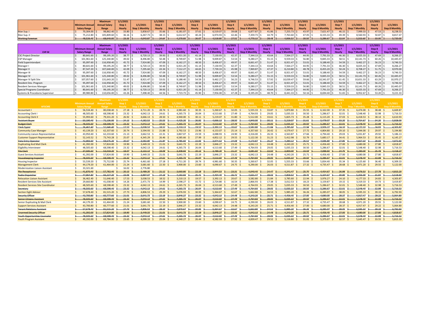|                        |                              | <b>Maximum</b> | 1/1/2021               |                       | 1/1/2021    |                       | 1/1/2021    |                | 1/1/2021        |                | 1/1/2021      |                       | 1/1/2021          |                       | 1/1/2021      |                       | 1/1/2021       |                       |
|------------------------|------------------------------|----------------|------------------------|-----------------------|-------------|-----------------------|-------------|----------------|-----------------|----------------|---------------|-----------------------|-------------------|-----------------------|---------------|-----------------------|----------------|-----------------------|
|                        | Minimum Annual Annual Salary |                | Step 1                 | 1/1/2021              | Step 2      | 1/1/2021              | Step 3      | 1/1/2021       | Step 4          | 1/1/2021       | Step 5        | 1/1/2021              | Step <sub>6</sub> | 1/1/202               | Step 7        | 1/1/2021              | Step 8         | 1/1/2021              |
| <b>SEIU</b>            | <b>Salary Range</b>          | Range          | Hourly                 | <b>Step 1 Monthly</b> | Hourly      | <b>Step 2 Monthly</b> | Hourly      | Step 3 Monthly | Hourly          | Step 4 Monthly | <b>Hourly</b> | <b>Step 5 Monthly</b> | <b>Hourly</b>     | <b>Step 6 Monthly</b> | <b>Hourly</b> | <b>Step 7 Monthly</b> | Hourly         | <b>Step 8 Monthly</b> |
| Man Sup. I             | 70.304.00                    | 98.862.40      | 33.80                  | 5,858.67              | 35.66       | $6,181.07$ :          | $37.61$ S   | 6,519.07       | 39.68           | 6,877.87       | 41.86         | 7,255.73              | $43.97$ \ \$      | 7,621.47              | 46.15         | 7,999.33              | $47.53$ \$     | 8,238.53              |
| Man Sup. II            | 75.212.80                    | 105.809.60     | 36.16                  | 6.267.73              | 38.15       | 6.612.67              | $40.24$ :   | 6.974.93       | $42.46$ S       | 7,359.73       | 44.79         | $7.763.60$ $\vert$    | 47.05             | .155.33               | 49.39         | 8.560.93              | 50.87 5        | 8.817.47              |
| <b>Working Foreman</b> | $48.526.40$ \$               | $68,640,00$ \$ | $-23.33$ $\frac{2}{3}$ | $-4.043.87$ \$        | $-24.64$ \$ | $4,270.93$ \$         | $-26.07$ \$ | $-4,518.80$ \$ | $-27.52$ $\div$ | 4,770.13       | $-28.48$ \$   | $-4,936.53$ \$        | $30.50$ $\zeta$   | 5 286 67 5            | 3204C         | $-5,553.60$ \$        | $-33,00$ $\le$ | 5.720.00              |

|                                  |                     | <b>Maximum</b>       | 1/1/2021 |                       | 1/1/2021     |                      | 1/1/2021     |                       | 1/1/2021      |                       | 1/1/2021          |                       | 1/1/2021          |                       | 1/1/2021   |                       | 1/1/2021      |                       |
|----------------------------------|---------------------|----------------------|----------|-----------------------|--------------|----------------------|--------------|-----------------------|---------------|-----------------------|-------------------|-----------------------|-------------------|-----------------------|------------|-----------------------|---------------|-----------------------|
|                                  | Minimum Annual      | <b>Annual Salary</b> | Step 1   | 1/1/2021              | Step 2       | 1/1/2021             | Step 3       | 1/1/2021              | Step 4        | 1/1/2021              | Step <sub>5</sub> | 1/1/2021              | Step <sub>6</sub> | 1/1/2021              | Step 7     | 1/1/2021              | Step 8        | 1/1/2021              |
| CHP-M                            | <b>Salary Range</b> | Range                | Hourly   | <b>Step 1 Monthly</b> | Hourly       | <b>Step 2 Monthl</b> | Hourly       | <b>Step 3 Monthly</b> | <b>Hourly</b> | <b>Step 4 Monthly</b> | Hourly            | <b>Step 5 Monthly</b> | Hourly            | <b>Step 6 Monthly</b> | Hourly     | <b>Step 7 Monthly</b> | <b>Hourly</b> | <b>Step 8 Monthly</b> |
| <b>CSC Project Director</b>      | 80,641.60           | 99,195.20            | 38.77    | 6,720.13              | $39.93$ \$   | 6,921.20             | $41.14$ S    | 7,130.93              | 42.37         | 7,344.13              | 43.64             | 7,564.27              | 44.95             | 7,791.33              | 46.30      | 8,025.33              | 47.69         | 8,266.27              |
| <b>CSP Manager</b>               | 01,961.60           | 125.340.80           | 49.02    | 8,496.80              | 50.48        | 8.749.8              | 51.98 S      | 9.009.87              | 53.54         | 9,280.27              | 55.15             | 9,559.33              | 56.80             | 9,845.33              | 58.51      | 10,141.73             | 60.26         | 10,445.07             |
| <b>Field Superintendant</b>      | 95,097.60           | 16,958.40            | 45.72    | 7,924.80              | 47.09 \$     | 8,162.27             | $48.50$ \$   | 8,406.67              | 49.97         | 8,661.47              | $51.47$ :         | 8,921.47              | 53.01             | 9,188.40              | $54.59$ \$ | 9,462.27              | 56.23         | 9,746.53              |
| Manager I                        | 80,641.60           | 99,195.20            | 38.77    | 6,720.13              | 39.93        | 6,921.20             | $41.14$   9  | 7,130.93              | 42.37         | 7.344.13              | 43.64             | 7,564.27              | 44.95             | 7,791.33              | 46.30      | 8,025.33              | 47.69         | 8,266.27              |
| Manager II                       | 87,547.20           | 107.640.00 S         | 42.09    | 7,295.60              | $43.34$ \ \$ | 7,512.27             | $44.65$ \ \$ | 7,739.33              | 45.98         | 7,969.87              | 47.37             | 8,210.80              | 48.78             | 8,455.20              | $50.24$ S  | 8,708.27              | 51.75         | 8,970.00              |
| Manager II                       | 95,097.60           | 116,958.40           | 45.72    | 7,924.80              | 47.09        | 8,162.27             | 48.50        | 8,406.67              | 49.97         | 8,661.47              | 51.47             | 8,921.47              | 53.01             | 9,188.40              | 54.59      | 9,462.27              | 56.23         | 9,746.53              |
| Manager IV                       | 101,961.60          | 125,340.80           | 49.02    | 8,496.80              | 50.48        | 8,749.87             | $51.98$ \$   | 9,009.87              | $53.54$ \;    | 9,280.27              | 55.15             | 9,559.33              | 56.80             | 9,845.33              | 58.51      | 10,141.73             | 60.26         | 10,445.07             |
| Manager IV Split Site            | 07,057.60           | 131,643.20           | 51.47    | 8,921.47              | 53.01        | 9,188.40             | 54.59        | 9,462.27              | 56.23         | 9,746.53              | 57.92             | 10,039.47             | 59.66             | 10,341.07             | 61.45      | 10,651.33             | 63.29         | 10,970.27             |
| Resident Dev. Program            | 95,097.60           | 16,958.40 \$         | 45.72    | 7,924.80              | 47.09        | 8,162.27             | $48.50$ \$   | 8,406.67              | 49.97         | 8,661.47              | 51.47             | 8,921.47              | 53.01             | 9,188.40              | 54.59      | 9,462.27              | 56.23         | 9,746.53              |
| <b>Resident Services Manager</b> | 01,961.60           | 25.340.80            | 49.02    | 8,496.80              | 50.48        | 8,749.8              | 51.98        | 9,009.87              | 53.54         | 9,280.27              | 55.15             | 9,559.33              | 56.80             | 9,845.33              | 58.51      | 10,141.73             | 60.26         | 10,445.07             |
| Special Programs Coordinator     | 80,641.60           | 99,195.20            | 38.77    | 6,720.13              | 39.93        | 6,921.20             | $41.14$ \$   | 7,130.93              | 42.37 !       | 7,344.13              | 43.64             | 7,564.27              | 44.95 !           | 7,791.33              | $46.30$ \$ | 8,025.33              | 47.69         | 8,266.27              |
| Systems & Procedures Supervisor  | 89.980.80           | 10.656.00 \$         | 43.26    | 7.498.40              | 44.56        | 7.723.73             | 45.90        | 7,956.00              | 47.28         | 8.195.20              | 48.70             | 8.441.33              | 50.16             | 8.694.40              | $51.65$ S  | 8.952.67              | 53.20         | 9,221.33              |

|                                           |                             |                  | 1/1/2021           |                       | 1/1/2021      |                       | 1/1/2021                |                       | 1/1/2021           |                 | 1/1/2021           |                       | 1/1/202:           |                       | 1/1/2021              |                       | 1/1/202:                 |                       |
|-------------------------------------------|-----------------------------|------------------|--------------------|-----------------------|---------------|-----------------------|-------------------------|-----------------------|--------------------|-----------------|--------------------|-----------------------|--------------------|-----------------------|-----------------------|-----------------------|--------------------------|-----------------------|
|                                           | Minimum Annual Annual Salar |                  | Step 1             | 1/1/2021              | Step 2        | 1/1/2021              | Step 3                  | 1/1/2021              | Step 4             | 1/1/2021        | Step 5             | 1/1/2021              | Step 6             | 1/1/2021              | Step 7                | 1/1/2021              | Step 8                   | 1/1/2021              |
| AFSCME                                    | <b>Salary Range</b>         | Range            | Hourly             | <b>Step 1 Monthly</b> | Hourly        | <b>Step 2 Monthly</b> | Hourly                  | <b>Step 3 Monthly</b> | Hourly             | Step 4 Monthly  | Hourly             | <b>Step 5 Monthly</b> | Hourly             | <b>Step 6 Monthly</b> | Hourly                | <b>Step 7 Monthly</b> | Hourly                   | <b>Step 8 Monthly</b> |
| <b>Accountant I</b>                       | 56,534,40<br>S.             | 80.038.40<br>-S  | $27.18$ \$         | 4.711.20<br>-S        | 28.74         | 4.981.60              | 30.35 S<br>.S           | 5.260.67<br>S         | 32.05              | 5.555.33        | 33.87              | 5.870.80              | 35.55              | 6.162.00<br>-S<br>-S  | 37.35 S               | 6,474.00              | 38.48<br>-S              | 6.669.87<br>-S        |
| <b>Accounting Clerk I</b>                 | 48,505.60                   | 68,598.40<br>-S  | 23.32 <sub>5</sub> | 4,042.13 \$           | 24.61         | 4,265.73 \$           | 26.04                   | 4.513.60              | 27.49              | 4.764.93        | 29.05 <sub>5</sub> | 5,035.33<br>- S       | 30.50 \$           | 5.286.67              | $32.01$ \$            | 5.548.40              | 32.98 \$<br>- S          | 5,716.53              |
| <b>Accounting Clerk II</b>                | 55,993.60 \$                | 79,331.20 \$     | 26.92S             | $4.666.13$ \$         | $28.50$ \$    | 4,940.00 \$           | 30.11S                  | $5,219.07$ \$         | 31.80S             | 5,512.00<br>- S | 33.61 S            | $5.825.73$ \$         | 35.28 S            | $6,115.20$ \$         | 37.03 S               | 6.418.53              | $38.14$ \$<br>-S         | 6,610.93              |
| <b>Assistant Buyer</b>                    | 50.190.40                   | 71.136.00        | $-24.13$           | 4.182.53              | 25.53         | 4.425.20              | 26.92                   | 4.666.13              | 28.50              | 4.940.00        | $-30.11$           | 5.219.07              | $-31.64$           | 5.479.07              | $-33.20$ \$           | 5,754.67              | 34.20                    | 5,928.00              |
| <b>Budget Clerk</b>                       | 48.505.60                   | 68,598.40        | 23.32              | 4.042.13              | $-24.61$      | 4.265.73              | 26.04                   | 4.513.60              | 27.49              | 4.764.93        | 29.05              | 5.035.33              | 30.50              | 5.286.67              | 32.01                 | 5.548.40              | 32.98                    | 5,716.5i              |
| <b>Clerk Typist</b>                       | 36,462.40                   | 51.646.40        | 17.53              | 3.038.53              | 18.52         | 3.210.13              | 19.57                   | 3.392.13              | $-20.67$           | 3.582.80        | $-21.84$           | 3.785.60              | 22.94              | 3.976.27              | $-24.10$ \$<br>ــــو  | 4.177.33              | $-24.83$                 | 4,303.87              |
| <b>Community Case Manager</b>             | 43.139.20 S                 | 62.337.60 \$     | 20.74S             | 3.594.93 \$           | 21.88 \$      | 3.792.53 \$           | 23.96S                  | 4.153.07 \$           | $25.14$ \$         | 4.357.60<br>- S | 26.42 S            | 4.579.47 \$           | $27.72$ \$         | 4.804.80<br>-S        | 29.10 S               | 5,044.00 \$           | 29.97 \$                 | 5,194.80              |
| Community Liaison Representative          | 43,950.40                   | 62,233.60 \$     | 21.13 <sup>5</sup> | 3,662.53 \$           | 22.31S        | 3.867.07              | $23.59$ \$              | 4.088.93              | 24.90S             | 4.316.00        | 26.33 <sup>5</sup> | 4,563.87              | $27.66$ \$         | 4.794.40              | 29.03 S               | 5,031.87              | 29.92 <sup>5</sup>       | 5,186.13              |
| <b>Customer Support Representative</b>    | 52,143.52 \$                | 73.743.28 \$     | $25.07$ \$         | $4.345.29$ \$         | 26.46 S       | 4,585.66 \$           | 27.99 \$                | $4.852.12$ \$         | $29.55$ \$         | $5,122.30$ \$   | $31.23$ \$         | $5.412.98$ \$         | $32.79$ \$         | $5.683.17$ \$         | 34.41 S               | 5.964.53 \$           | $35.45$ \$               | 6,145.27              |
| <b>Data Entry Operator</b>                | 42.993.60                   | 59.675.20<br>4   | 20.67              | 3.582.80<br>ے۔        | $-21.84$      | 3.785.60              | $-22.93$ \$<br><u>م</u> | 3.974.53              | $-24.08$ \$        | 4.173.87        | 25.27<br>-4        | 4.380.13              | 26.52<br>- 4       | 4.596.80              | $27.85$ \$            | 4.827.33              | 28.69<br>- 4             | 4.972.93              |
| <b>Duplicating And Mail Clerk</b>         | 41.392.00                   | 57,824.00<br>-S  | 19.90 S            | $3.449.33$ \$         | $21.01$ \$    | $3.641.73$ \$         | $22.19$ \$              | 3.846.27<br>- S       | 23.32 <sup>5</sup> | 4.042.13        | 24.48 S<br>- S     | 4.243.20<br>$\sim$    | 25.71S             | 4,456,40<br>- S       | 27.00 S               | 4.680.00              | $27.80\frac{1}{5}$<br>s. | 4,818.67              |
| <b>Eligibility Interviewer</b>            | 48.505.60 \$<br>s.          | 68.598.40 \$     | 23.32 <sub>5</sub> | $4.042.13$ \$         | 24.61         | $4.265.73$ \$         | 26.04S                  | 4.513.60              | 27.49 \$           | 4.764.93<br>- S | 29.05 \$           | 5.035.33<br>- S       | 30.50 S            | 5.286.67<br>- S       | $32.01$ \$            | 5.548.40              | 32.98<br>-S              | 5.716.53              |
| <b>File Clerk</b>                         | 37.585.60<br>-S             | 53.019.20<br>- S | $-18.07$ \$        | 3,132.13<br>-S        | $-19.09$      | 3.308.93              | $-20.13$ \$             | 3.489.20              | $-21.24$ \$        | 3.681.60        | $-22.50$ \$<br>ے   | 3.900.00              | $-23.59$ \$<br>ڪ   | 4.088.93              | $-24.75$ \$<br>ے      | 4.290.00              | $$25.49$ \$              | 4,418.27              |
| <b>Guest Services Assistant</b>           | 41,392.00                   | 57,824.00 \$     | 19.90              | 3.449.33 \$           | 21.01         | 3.641.73<br>- S       | $22.19$ \$              | 3.846.27              | 23.32 <sub>5</sub> | 4.042.13        | 24.48S             | 4.243.20              | 25.71S             | 4.456.40<br>- S       | 27.00 S               | 4.680.00              | 27.80<br>- S             | 4,818.67              |
| <b>Housekeeping Inspector</b>             | 48.505.60                   | 68.598.40        | 23.32              | 4.042.13              | $-24.61$      | 4.265.73              | 26.04<br>$\leftarrow$   | 4.513.60              | $-27.49$           | 4.764.93        | 29.05<br>٠         | 5.035.33              | 30.50              | 5.286.67              | $-32.01$ \$<br>$\sim$ | 5.548.40              | 32.98<br>$\leftarrow$    | $-5,716.53$<br>- 1    |
| <b>Housing Inspector</b>                  | 53,539.20                   | 75.712.00 \$     | 25.74S             | 4.461.60              | 27.18         | 4.711.20<br>-S        | 28.74S                  | 4.981.60              | $30.35$ \$         | 5.260.67        | $32.05$ \$         | 5.555.33              | 33.66 \$           | 5.834.40              | 35.34 S               | 6.125.60              | 36.40<br>- S             | 6,309.33              |
| <b>Management Clerk</b>                   | 44.179.20                   | 61.464.00 \$     | 21.24S             | $3.681.60$ \$         | $22.50$ \$    | 3.900.00 \$           | 23.60                   | 4.090.67<br>-S        | 24.75              | 4.290.00        | 26.03<br>-S        | 4.511.87<br>- S       | 27.32              | 4.735.47<br>- S       | 28.68                 | 4.971.20              | 29.55<br>-S              | 5,122.00              |
| <b>Modernization Liaison Assistant</b>    | 33,321.60                   |                  | 16.02 <sub>5</sub> | 2,776.80              |               |                       |                         |                       |                    |                 |                    |                       |                    |                       |                       |                       |                          |                       |
| <b>Pbx Receptionist</b>                   | 41,870.40                   | 57.782.40        | $-20.13$           | 3.489.20              | $-21.12$      | 3.660.80              | $-22.18$                | 3.844.53              | 23.34              | 4.040.40        | 24.47              | 4.241.47              | 25.70              | 4.454.67              | 26.98                 | 4.676.53              | $-27.78$                 | 4,815.20              |
| <b>Radio Dispatcher</b>                   | 47.964.80                   | 66,227.20        | 23.06              | 3.997.07              | 24.19         | 4.192.93              | 25.44                   | 4.404.40              | 26.72              | 4.631.47        | 28.03              | 4.858.53              | 29.45              | 5.104.67              | 30.90                 | 5.356.00              | 31.84                    | 5,518.93              |
| <b>Relocation Liaison Assistant</b>       | 36,462,40                   | 51,646.40        | $17.53$ \$         | $3,038.53$ \$         | $18.52 \quad$ | 3,210.13              | $19.57$ \$              | 3.392.13<br>-S        | $20.67$ \$         | 3.582.80        | 21.84S             | 3.785.60<br>- S       | $22.94$ \$         | 3.976.27              | 24.10S<br>-S          | 4.177.33              | $24.83 \quad$ \$<br>s.   | 4,303.87              |
| <b>Resident Services Site Assistant</b>   | 29.660.80                   | 41.038.40        | $14.26$ \$         | 2.471.73 \$           | 14.99 S       | 2.598.27              | 15.72S                  | 2.724.80              | 16.54S             | 2.866.93        | 17.38 S            | 3.012.53<br>- S       | 18.23 <sub>5</sub> | 3.159.87              | 19.15 <sub>5</sub>    | 3.319.33              | 19.73 \$<br>-S           | 3.419.87              |
| <b>Resident Services Site Coordinator</b> | 48.505.60                   | 68.598.40 \$     | 23.32 <sup>5</sup> | $4.042.13$ \$         | 24.61 S       | $4.265.73$ \$         | 26.04S                  | 4.513.60<br>-S        | 27.49S             | 4.764.93 \$     | $29.05$ \$         | 5.035.33<br>-S        | 30.50 S            | 5.286.67<br>-S        | 32.01 S               | 5.548.40 \$           | 32.98 S                  | 5.716.53              |
| Secretary                                 | 48.505.60                   | 68.598.40        | 23.32              | 4.042.13              | $-24.64$      | 4.265.73              | 26.04                   | 4.513.60              | 27.49              | 4.764.93        | 29.05              | 5.035.33              | 30.50              | 5.286.67              | 32.01                 | 5.548.40              | 32.98                    | $-5,716.5i$           |
| <b>Section Eight Advisor</b>              | 57,678.40 \$                | 81.515.20 \$     | 27.73S             | 4.806.53 \$           | 29.29 S       | $5.076.93$ \$         | 30.95S                  | 5.364.67<br>-S        | 32.67 <sup>5</sup> | 5.662.80<br>- S | $34.53$ \$         | 5.985.20<br>- S       | $36.26$ \$         | 6.285.07<br>- S       | 38.05 S               | 6.595.33              | 39.19 S<br>-S            | 6,792.93              |
| <b>Security Officer</b>                   | 43,700.80                   | 60.777.60        | $-21.01$ \$        | 3.641.73              | $-22.19$      | 3.846.27              | $-23.32$                | 4.042.13              | $-24.48$           | 4.243.20        | $-25.74$           | 4.456.40              | $-27.00$ \$        | 4.680.00              | $-28.37$ \$           | 4.917.47              | 29.22                    | $-5,064.80$           |
| <b>Senior Citizens Assistant</b>          | 48.505.60                   | 68.598.40        | 23.32              | 4.042.13              | $-24.61$      | 4.265.73              | 26.04                   | 4.513.60              | 27.49              | 4.764.93        | $29.05$ \$         | 5.035.33              | 30.50              | 5.286.67              | 32.01                 | 5,548.40              | 32.98                    | $-5,716.54$           |
| Senior Duplicating & Mail Clerk           | 44.179.20 \$                | 61.464.00 \$     | 21.24S             | 3.681.60              | 22.50S        | 3.900.00 \$           | 23.60 S                 | 4.090.67              | 24.75 \$           | 4.290.00        | 26.03 <sub>5</sub> | 4.511.87<br>- S       | 27.32 S            | 4.735.47 \$           | 28.68 S               | 4.971.20              | 29.55 \$<br>- S          | 5,122.00              |
| <b>Support Services Assistant</b>         | 43,700.80 \$                | 60.777.60 \$     | 21.01S             | $3.641.73$ \$         | $22.19$ S     | 3.846.27 \$           | 23.32 S                 | $4,042.13$ \$         | 24.48S             | 4,243,20        | 25.71S<br>- S      | 4.456.40<br>$\leq$    | 27.00 S            | 4.680.00<br>-S        | 28.37                 | 4.917.47              | 29.22S<br>-S             | 5.064.80              |
| <b>Tenant Relations Assistant</b>         | 57.678.40                   | 81.515.20        | $-27.73$           | 4.806.53              | $-28.10$      | 4.870.67              | 30.95                   | 5.364.67              | 32.67              | 5.662.80        | 34.53              | 5.985.20              | 36.26              | 6.285.07              | 38.05                 | 6.595.33              | 39.19                    | 6.792.93              |
| <b>Unarmed Security Officer</b>           | 41,392.00                   | 57.824.00        | 19.90              | 3.449.33              | $-21.01$      | 3.641.73              | $-22.19$                | 3.846.27              | 23.32              | 4.042.13        | $-24.48$           | 4.243.20              | 25.71              | 4.456.40              | 27.00                 | 4.680.00              | 27.80                    | 4,818.67              |
| <b>Youth Opportunities Counselor</b>      | 18.505.60                   | 68.598.40        | 23.32              | 4.042.13              | $-24.64$      | 4.265.73              | 26.04                   | 4.513.60              | 27.49              | 4.764.93        | 29.05<br>- 2       | 5.035.33              | 30.50              | 5.286.67              | 32.01<br>ء            | 5.548.40              | 32.98                    | $-5,716.53$           |
| <b>Youth Program Assistant</b>            | 49,192.00                   | 69,784.00 \$     | $23.65$ \$         | 4,099.33 \$           | $25.04$ \$    | $4,340.27$ \$         | 26.44                   | 4,582.93 \$           | $27.92 \quad $$    | 4,839.47 \$     | 29.52              | 5,116.80<br>- S       | 31.01              | 5,375.07<br>S.        | 32.57                 | 5,645.47              | 33.55<br>-S              | 5,815.33              |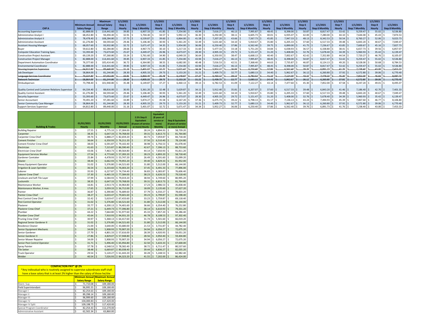|                                                   |                       | Maximum       | 1/1/2021 |                       | 1/1/2021 |                       | 1/1/2021          |                       | 1/1/2021    |                       | 1/1/2021              |                       | 1/1/2021     |                       | 1/1/2021          |                       | 1/1/2021   |                       |
|---------------------------------------------------|-----------------------|---------------|----------|-----------------------|----------|-----------------------|-------------------|-----------------------|-------------|-----------------------|-----------------------|-----------------------|--------------|-----------------------|-------------------|-----------------------|------------|-----------------------|
|                                                   | <b>Minimum Annual</b> | Annual Salary | Step 1   | 1/1/2021              | Step 2   | 1/1/2021              | Step <sub>3</sub> | 1/1/2021              | Step 4      | 1/1/2021              | Step 5                | 1/1/2021              | Step 6       | 1/1/2021              | Step <sub>7</sub> | 1/1/2021              | Step 8     | 1/1/2021              |
| <b>CHP A</b>                                      | <b>Salary Range</b>   | Range         | Hourly   | <b>Step 1 Monthly</b> | Hourly   | <b>Step 2 Monthly</b> | Hourly            | <b>Step 3 Monthly</b> | Hourly      | <b>Step 4 Monthly</b> | Hourly                | <b>Step 5 Monthly</b> | Hourly       | <b>Step 6 Monthly</b> | Hourly            | <b>Step 7 Monthly</b> | Hourly     | <b>Step 8 Monthly</b> |
| <b>Accounting Supervisor</b>                      | 82.888.00             | 114,441.60    | 39.85    | 6,907.33              | 41.85    | 7.254.00              | 43.94             | 7.616.27              | 46.13       | 7,995.87              | 48.45                 | 8,398.00              | 50.87        | 8.817.4               | 53.42             | 9,259.47              | 55.02      | 9,536.80              |
| <b>Administrative Analyst I</b>                   | 68.452.80             | 94.494.40     | 32.91    | 5.704.40              | 34.57    | 5.992.13              | 36.30             | 6,292.00              | 38.11       | 6.605.73              | 40.01                 | 6,935.0               | 42.00        | 7.280.00              | 44.10             | 7.644.00              | 45.43      | 7,874.53              |
| <b>Administrative Analyst II</b>                  | 78,478.40             | 108,284.80    | 37.73    | 6,539.87              | 39.60    | 6,864.00              | 41.58             | 7,207.20              | 43.66       | 7,567.73              | $45.85$ $\leq$        | 7,947.33              | $48.13$ \ \$ | 8,342.53              | 50.54             | 8,760.27              | 52.06      | 9,023.73              |
| Administrative Assistant                          | 61.276.80             | 84,593.60     | 29.46    | 5.106.40              | 30.93    | 5.361.20              | 32.49             | 5.631.60              | 34.10       | 5.910.67              | 35.80                 | 6,205.33              | $37.60$ :    | 6.517.33              | 39.48             | 6.843.20              | 40.67      | 7,049.47              |
| <b>Assistant Housing Manager</b>                  | 68,057.60             | 93,932.80     | 32.72    | 5,671.47              | 34.35    | 5.954.00              | 36.06             | 6,250.40              | 37.86       | 6,562.40              | 39.75                 | 6,890.00              | $41.75$ S    | 7.236.6               | $43.85$ \ 5       | 7,600.67              | 45.16      | 7,827.73              |
| Buyer                                             | 59.612.80             | 82,284.80     | 28.66    | 4,967.73              | 30.10    | 5,217.33              | 31.60             | 5.477.33              | 33.18       | 5,751.20              | 34.84                 | 6,038.93              | 36.57        | 6,338.80              | 38.41             | 6,657.73              | 39.56      | 6,857.07              |
| <b>Computer Education Training Spec.</b>          | 53,393.60             | 73,673.60     | 25.67    | 4.449.47              | 26.96    | 4,673.07              | 28.30             | 4,905.33              | 29.72       | 5,151.47              | $31.20$ S             | 5,408.00              | $32.76$ S    | 5,678.40              | $34.39$ $\leq$    | 5,960.93              | 35.42      | 6,139.47              |
| <b>Construction Project Assistant</b>             | 69.139.20             | 97.260.80     | 33.24    | 5.761.60              | 34.90    | 6.049.33              | 36.64             | 6,350.93              | 38.47       | 6,668.13              | 40.40                 | 7.002.6               | 42.42        | 7.352.80              | 44.54             | 7,720.27              | 46.76      | 8,105.07              |
| <b>Construction Project Manager</b>               | 82,888.00             | 114,441.60    | 39.85    | 6,907.33              | 41.85    | 7,254.00              | 43.94             | 7.616.27              | 46.13       | 7,995.87              | $48.45$ \ S           | 8,398.00              | $50.87$ \$   | 8,817.47              | $53.42$ \ 5       | 9,259.47              | 55.02      | 9,536.80              |
| Department Automation Coordinator                 | 76,377.60             | 105.414.40    | 36.72    | 6.364.80              | 38.55    | 6.682.00              | 40.48             | 7.016.53              | 42.51       | 7,368.40              | 44.63   :             | 7.735.87              | 46.87        | 8.124.13              | $49.20$ $\pm$     | 8.528.00              | 50.68      | 8,784.53              |
| <b>Environmental Coordinator</b>                  | 82,888.00             | 114,441.60    | 39.85    | 6,907.33              | 41.85    | 7,254.00              | 43.94             | 7,616.27              | $46.13$   5 | 7,995.87              | $48.45$ $\leq$        | 8,398.00              | 50.87        | 8,817.4               | $53.42$ S         | 9,259.47              | $55.02$ \$ | 9,536.80              |
| <b>Housing Inspector Supervisor</b>               | 64.812.80             | 89.440.00     | 31.16    | 5,401.07              | 32.72    | 5,671.47              | 34.34             | 5,952.27              | 6.06        | 6,250.40              | 17.86                 | 6,562.40              | 39.76        | 6.891.7               | 4.76              | 7,238.40              | 43.00      | 7,453.33              |
| Job Developer                                     | 58,864.00             | 81,244.80     | 28.30    | 4,905.33              | 29.73    | 5,153.20              | 31.21             | 5,409.7               | 32.77       | 5,680.13              | 34.40                 | 5,962.6               | $36.12$ \$   | 6,260.8               | 37.92             | 6,572.80              | 39.06      | 6,770.40              |
| Language Services Coordinator                     | 70,324.80             | 97,052.80     | 33.81    | 5,860.40              | 35.48    | 6,149.87              | 37.27             | 6,460.13              | 39.13       | 6.782.5               | 4.10                  | 7,124.00              | 43.15        | 7,479.33              | 45.30             | 7,852.00              | 46.66      | 8,087.73              |
| Network Technician                                | 58.864.00             | 81.244.80     | 28.30    | 4,905.33              | 29.73    | 5,153.20              | 31.21             | 5,409.73              | 32.77       | 5.680.1               | 34.40                 | 5.962.6               | 36.12        | 6,260.8               | 37.92             | 6.572.8               | 39.06      | 6,770.40              |
| Ombudsperson                                      | 73,798.40             | 101,940.80    | 35.48    | 6.149.87              | 37.27    | 6,460.13              | 39.13             | 6.782.53              | 41.09       | 7,122.27              | 43.14                 | 7.477.60              | 45.30        | 7,852.00              | 47.58             | 8.247.20              | 49.01      | 8,495.07              |
|                                                   |                       |               |          |                       |          |                       |                   |                       |             |                       |                       |                       |              |                       |                   |                       |            |                       |
| Quality Control and Customer Relations Supervisor | 64,334.40             | 88,816.00     | 30.93    | $5,361.20$ \$         | 32.48    | 5,629.87              | 34.11             | 5,912.40              | $35.81$ \$  | 6,207.07              | $37.60$ \$            | 6,517.33              | $39.48$ \$   | 6,843.20              | $41.46$ S         | 7,186.40              | $42.70$ \$ | 7,401.33              |
| <b>Quality Control Assistant</b>                  | 61,276.80             | 84,593.60     | 29.46    | 5,106.40              | 30.93    | 5,361.20              | 32.49             | 5,631.60              | 34.10       | 5,910.67              | 35.80                 | 6,205.33              | 37.60        | 6,517.33              | 39.48             | 6,843.20              | 40.67      | 7,049.47              |
| Security Supervisor                               | 53,393.60             | 73,673.60     | 25.67    | 4.449.47              | 26.96    | 4,673.07              | 28.30             | 4,905.33              | 29.72       | 5,151.47              | $31.20$ S             | 5,408.00              | $32.76$ \$   | 5,678.40              | 34.39             | 5,960.93              | 35.42      | 6,139.47              |
| Senior Accountant                                 | 70.491.20             | 97.281.60     | 33.89    | 5.874.27              | 35.58    | 6.167.20              | 37.36             | 6.475.73              | 39.22       | 6.798.13              | 41.17                 | 7.136.13              | 43.24        | 7.494.93              | $45.39$ $\pm$     | 7,867.60              | 46.77      | 8,106.80              |
| Senior Community Case Manager                     | 58,864.00             | 81,244.80     | 28.30    | 4,905.33              | 29.73    | 5,153.20              | 31.21             | 5,409.73              | 32.77       | 5,680.13              | $34.40$ S             | 5,962.67              | $36.12$ S    | 6,260.8               | 37.92             | 6,572.80              | 39.06      | 6,770.40              |
| Support Services Supervisor                       | 64.812.80             | 89,440.00     | 31.16    | 5.401.07              | 32.72    | 5.671.47              | 34.34             | 5.952.27              | 36.06       | 6.250.40              | $37.86$ $\frac{5}{5}$ | 6.562.40              | 39.76 S      | 6.891.7               | $41.76$ S         | 7,238.40              | 43.00      | 7,453.33              |

|                                  |    |               |    |                |             |               |                     |    | <b>Equivalent</b> |    |                          |
|----------------------------------|----|---------------|----|----------------|-------------|---------------|---------------------|----|-------------------|----|--------------------------|
|                                  |    |               |    |                |             |               | 2.5% Step 8         |    | (8 years of       |    |                          |
|                                  |    |               |    |                |             |               | <b>Equivalent</b>   |    | service or        |    | <b>Step 8 Equivalent</b> |
|                                  |    | 01/01/2021    |    | 01/01/2021     | 01/01/2021  |               | (8 years of service |    | more)             |    | (8 years of service      |
| <b>Building &amp; Trades</b>     |    | <b>Hourly</b> |    | <b>Monthly</b> | Annual      |               | or more) Hourly     |    | <b>Monthly</b>    |    | or more) Annual          |
| <b>Building Repairer</b>         | \$ | 27.55         | \$ | 4,775.33       | \$57,304.00 | \$            | 28.24               | \$ | 4,894.93          | \$ | 58,739.20                |
| Carpenter                        | \$ | 38.35         | \$ | 6,647.33       | \$79,768.00 | \$            | 39.31               | Ś  | 6,813.73          | \$ | 81,764.80                |
| Carpenter Crew Chief             | \$ | 39.74         | \$ | 6,888.27       | \$82,659.20 | \$            | 40.73               | Ś  | 7,059.87          | Ś  | 84,718.40                |
| <b>Cement Finisher</b>           | Ś  | 36.64         | \$ | 6,350.93       | \$76,211.20 | \$            | 37.56               | \$ | 6,510.40          | Ś  | 78,124.80                |
| Cement Finisher Crew Chief       | \$ | 38.03         | \$ | 6,591.87       | \$79,102.40 | \$            | 38.98               | \$ | 6,756.53          | \$ | 81,078.40                |
| Flectrician                      | \$ | 41.63         | \$ | 7,215.87       | \$86,590.40 | <sup>\$</sup> | 42.67               | \$ | 7,396.13          | Ś  | 88,753.60                |
| Electrician Crew Chief           | \$ | 43.06         | \$ | 7,463.73       | \$89,564.80 | \$            | 44.14               | \$ | 7,650.93          | Ś  | 91,811.20                |
| <b>Equipment Services Worker</b> | \$ | 27.54         | \$ | 4,773.60       | \$57,283.20 | \$            | 28.23               | \$ | 4,893.20          | \$ | 58,718.40                |
| Gardener Caretaker               | Ś  | 25.84         | Ś  | 4,478.93       | \$53,747.20 | \$            | 26.49               | Ś  | 4,591.60          | Ś  | 55,099.20                |
| Glazier                          | Ś  | 38.44         | \$ | 6,662.93       | \$79,955.20 | \$            | 39.40               | \$ | 6,829.33          | Ś  | 81,952.00                |
| <b>Heavy Equipment Operator</b>  | \$ | 31.02         | Ś  | 5,376.80       | \$64,521.60 | .s            | 31.80               | Ś. | 5,512.00          | Ś  | 66,144.00                |
| Irrigation & Lawn Sprinkler      | \$ | 36.54         | \$ | 6,333.60       | \$76,003.20 | \$            | 37.45               |    | \$6,491.33        | \$ | 77,896.00                |
| Laborer                          | Ś  | 35.93         | Ś  | 6,227.87       | \$74,734.40 | .s            | 36.83               | Ś. | 6.383.87          | Ś  | 76,606.40                |
| <b>Laborer Crew Chief</b>        | Ś  | 37.30         | Ś  | 6,465.33       | \$77,584.00 | Ś             | 38.23               | Ś  | 6,626.53          | Ś  | 79,518.40                |
| Linoleum and Soft Tile Layer     | Ś  | 37.99         | Ś  | 6,584.93       | \$79,019.20 | Ś             | 38.94               | Ś  | 6,749.60          | Ś  | 80,995.20                |
| Locksmith                        | \$ | 38.35         | \$ | 6,647.33       | \$79,768.00 | \$            | 39.31               | \$ | 6,813.73          | \$ | 81,764.80                |
| Maintenance Worker               | \$ | 16.81         | Ś  | 2,913.73       | \$34,964.80 | .s            | 17.23               | Ś. | 2,986.53          | Ś  | 35,838.40                |
| Maintenance Worker, 6 mos        | Ś  | 17.65         | Ś  | 3,059.33       | \$36,712.00 | \$            | 18.09               | \$ | 3,135.60          | Ś  | 37,627.20                |
| Painter                          | \$ | 36.87         | Ś  | 6.390.80       | \$76,689.60 | .s            | 37.79               | Ś. | 6,550.27          | Ś  | 78,603.20                |
| <b>Painter Crew Chief</b>        | \$ | 38.27         | Ś  | 6,633.47       | \$79,601.60 | Ś             | 39.23               | Ś  | 6.799.87          | Ś  | 81,598.40                |
| Pest Control Crew Chief          | \$ | 32.42         | \$ | 5,619.47       | \$67,433.60 | \$            | 33.23               | Ś. | 5,759.87          | \$ | 69,118.40                |
| Pest Control Operator            | Ś  | 31.02         | \$ | 5.376.80       | \$64,521.60 | Ś             | 31.80               | Ś  | 5,512.00          | Ś  | 66,144.00                |
| Plasterer                        | Ś  | 35.77         | Ś  | 6.200.13       | \$74,401.60 | Ŝ             | 36.66               | Ś  | 6,354.40          | Ś  | 76,252.80                |
| <b>Plasterer Crew Chief</b>      | \$ | 37.21         | \$ | 6,449.73       | \$77,396.80 | \$            | 38.14               | \$ | 6,610.93          | \$ | 79,331.20                |
| Plumber                          | \$ | 44.22         | Ś  | 7.664.80       | \$91,977.60 | .s            | 45.33               | Ś  | 7,857.20          | Ś  | 94,286.40                |
| <b>Plumber Crew Chief</b>        | \$ | 45.64         | \$ | 7.910.93       | \$94,931.20 | <sup>\$</sup> | 46.78               | \$ | 8,108.53          | Ś  | 97,302.40                |
| Pruning Crew Chief               | \$ | 30.97         | \$ | 5,368.13       | \$64,417.60 | \$            | 31.74               | \$ | 5,501.60          | \$ | 66,019.20                |
| Regional Senior Gardener II      | \$ | 31.02         | \$ | 5,376.80       | \$64,521.60 | <sup>\$</sup> | 31.80               |    | \$5,512.00        | Ś  | 66,144.00                |
| Residence Cleaner                | \$ | 21.00         | \$ | 3.640.00       | \$43,680.00 | .s            | 21.53               | Ś  | 3.731.87          | Ś  | 44,782.40                |
| Senior Equipment Mechanic        | \$ | 34.09         | \$ | 5,908.93       | \$70,907.20 | \$            | 34.94               | \$ | 6,056.27          | \$ | 72,675.20                |
| Senior Gardener                  | \$ | 27.70         | Ś  | 4.801.33       | \$57,616.00 | Ŝ             | 28.39               | Ś  | 4.920.93          | Ś  | 59.051.20                |
| <b>Senior Gardener II</b>        | \$ | 27.86         | \$ | 4,829.07       | \$57,948.80 | \$            | 28.56               | Ś  | 4,950.40          | Ś  | 59,404.80                |
| Senior Mower Repairer            | \$ | 34.09         | \$ | 5,908.93       | \$70,907.20 | \$            | 34.94               | \$ | 6,056.27          | Ś  | 72,675.20                |
| Senior Pest Control Operator     | \$ | 31.71         | \$ | 5,496.40       | \$65,956.80 | \$            | 32.50               |    | 5,633.33          | Ś  | 67,600.00                |
| <b>Spray Painter</b>             | \$ | 37.78         | \$ | 6,548.53       | \$78,582.40 | Ś             | 38.72               | Ś. | 6,711.47          | \$ | 80,537.60                |
| <b>Tile Setter</b>               | Ś  | 38.48         | Ś  | 6,669.87       | \$80,038.40 | Ś             | 39.44               | Ś  | 6,836.27          | Ś  | 82,035.20                |
| <b>Truck Operator</b>            | \$ | 29.54         | Ś  | 5.120.27       | \$61,443.20 | Ŝ             | 30.28               | Ś  | 5,248.53          | Ś  | 62.982.40                |
| Welder                           | Ś  | 40.54         | Ś  | 7,026.93       | \$84,323.20 | Ś             | 41.55               | \$ | 7,202.00          | Ś  | 86,424.00                |

| <b>COMPACTION PAY* @ 2%</b>                                                    |    |                                      |    |            |  |  |  |  |  |  |  |  |
|--------------------------------------------------------------------------------|----|--------------------------------------|----|------------|--|--|--|--|--|--|--|--|
| *Any indivudual who is routinely assigned to supervise subordinate staff shall |    |                                      |    |            |  |  |  |  |  |  |  |  |
| have a base salary that is at least 2% higher than the salary of those he/she  |    |                                      |    |            |  |  |  |  |  |  |  |  |
|                                                                                |    | <b>Minimum Annual Maximum Annual</b> |    |            |  |  |  |  |  |  |  |  |
| <b>Salary Range</b><br><b>Salary Range</b>                                     |    |                                      |    |            |  |  |  |  |  |  |  |  |
| Maint. Sup.                                                                    | Ś  | 71,710.08                            | Ś  | 109.180.00 |  |  |  |  |  |  |  |  |
| <b>Field Superintendant</b>                                                    | Ś  | 96.995.55                            | Ś  | 109.180.00 |  |  |  |  |  |  |  |  |
| Manager I                                                                      | Ś  | 82.254.63                            | Ś  | 109.180.00 |  |  |  |  |  |  |  |  |
| Manager II                                                                     | Ś  | 89.298.14                            | Ś  | 109,180.00 |  |  |  |  |  |  |  |  |
| Manager III                                                                    | Ś  | 96.999.60                            | Ś  | 109.180.00 |  |  |  |  |  |  |  |  |
| Manager IV                                                                     | Ś  | 104.000.83                           | Ś  | 117.420.00 |  |  |  |  |  |  |  |  |
| Manager IV Split                                                               | Ś  | 109.198.75                           | Ś  | 117.420.00 |  |  |  |  |  |  |  |  |
| Special Program Coordinator                                                    | \$ | 82.254.43                            | Ś  | 112.270.00 |  |  |  |  |  |  |  |  |
| Administrative Assistant                                                       | Ś  | 62.502.34                            | ۱s | 63.860.00  |  |  |  |  |  |  |  |  |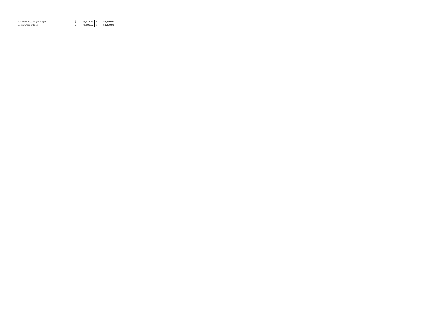| Assistant Housing Manager | 69.418.76 S | 84.460.00 |
|---------------------------|-------------|-----------|
| Senior Accountant         | 71.901.02   | 83.430.00 |